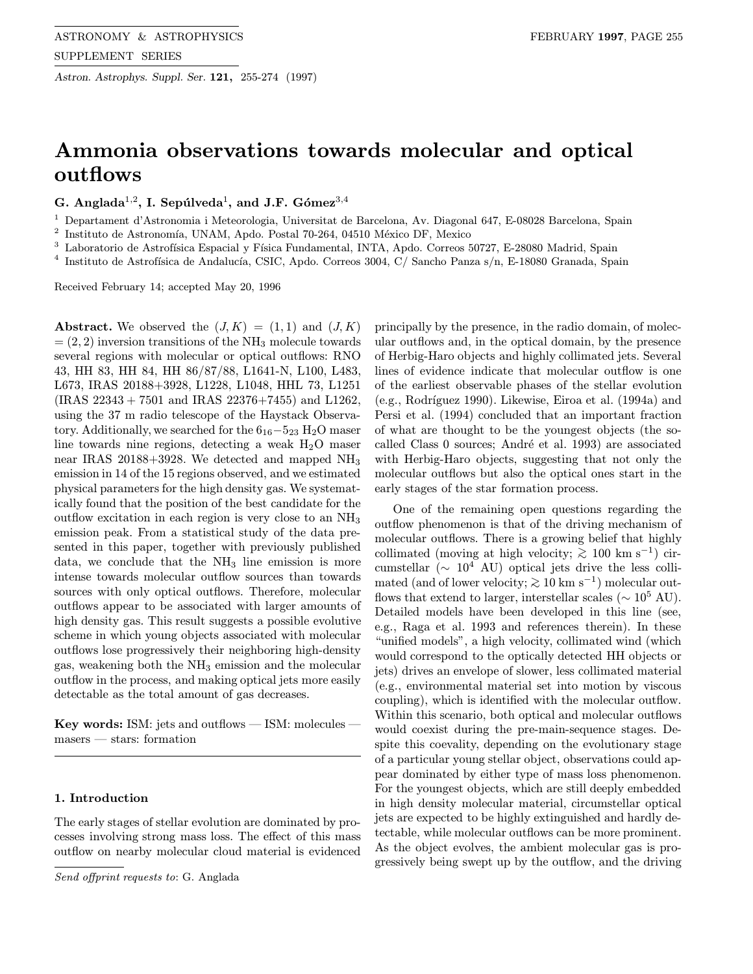Astron. Astrophys. Suppl. Ser. 121, 255-274 (1997)

# Ammonia observations towards molecular and optical outflows

G. Anglada<sup>1,2</sup>, I. Sepúlveda<sup>1</sup>, and J.F. Gómez<sup>3,4</sup>

<sup>1</sup> Departament d'Astronomia i Meteorologia, Universitat de Barcelona, Av. Diagonal 647, E-08028 Barcelona, Spain

 $2$  Instituto de Astronomía, UNAM, Apdo. Postal 70-264, 04510 México DF, Mexico

<sup>3</sup> Laboratorio de Astrofísica Espacial y Física Fundamental, INTA, Apdo. Correos 50727, E-28080 Madrid, Spain

<sup>4</sup> Instituto de Astrofísica de Andalucía, CSIC, Apdo. Correos 3004, C/ Sancho Panza s/n, E-18080 Granada, Spain

Received February 14; accepted May 20, 1996

**Abstract.** We observed the  $(J, K) = (1, 1)$  and  $(J, K)$  $=(2, 2)$  inversion transitions of the NH<sub>3</sub> molecule towards several regions with molecular or optical outflows: RNO 43, HH 83, HH 84, HH 86/87/88, L1641-N, L100, L483, L673, IRAS 20188+3928, L1228, L1048, HHL 73, L1251 (IRAS 22343 + 7501 and IRAS 22376+7455) and L1262, using the 37 m radio telescope of the Haystack Observatory. Additionally, we searched for the  $6_{16}-5_{23}$  H<sub>2</sub>O maser line towards nine regions, detecting a weak  $H_2O$  maser near IRAS 20188+3928. We detected and mapped NH<sup>3</sup> emission in 14 of the 15 regions observed, and we estimated physical parameters for the high density gas. We systematically found that the position of the best candidate for the outflow excitation in each region is very close to an  $NH<sub>3</sub>$ emission peak. From a statistical study of the data presented in this paper, together with previously published data, we conclude that the  $NH<sub>3</sub>$  line emission is more intense towards molecular outflow sources than towards sources with only optical outflows. Therefore, molecular outflows appear to be associated with larger amounts of high density gas. This result suggests a possible evolutive scheme in which young objects associated with molecular outflows lose progressively their neighboring high-density gas, weakening both the NH<sup>3</sup> emission and the molecular outflow in the process, and making optical jets more easily detectable as the total amount of gas decreases.

Key words: ISM: jets and outflows — ISM: molecules masers — stars: formation

# 1. Introduction

The early stages of stellar evolution are dominated by processes involving strong mass loss. The effect of this mass outflow on nearby molecular cloud material is evidenced

Send offprint requests to: G. Anglada

principally by the presence, in the radio domain, of molecular outflows and, in the optical domain, by the presence of Herbig-Haro objects and highly collimated jets. Several lines of evidence indicate that molecular outflow is one of the earliest observable phases of the stellar evolution  $(e.g., Rodriguez 1990)$ . Likewise, Eiroa et al.  $(1994a)$  and Persi et al. (1994) concluded that an important fraction of what are thought to be the youngest objects (the socalled Class 0 sources; André et al. 1993) are associated with Herbig-Haro objects, suggesting that not only the molecular outflows but also the optical ones start in the early stages of the star formation process.

One of the remaining open questions regarding the outflow phenomenon is that of the driving mechanism of molecular outflows. There is a growing belief that highly collimated (moving at high velocity;  $\gtrsim 100 \text{ km s}^{-1}$ ) circumstellar ( $\sim 10^4$  AU) optical jets drive the less collimated (and of lower velocity;  $\gtrsim 10 \text{ km s}^{-1}$ ) molecular outflows that extend to larger, interstellar scales ( $\sim 10^5$  AU). Detailed models have been developed in this line (see, e.g., Raga et al. 1993 and references therein). In these "unified models", a high velocity, collimated wind (which would correspond to the optically detected HH objects or jets) drives an envelope of slower, less collimated material (e.g., environmental material set into motion by viscous coupling), which is identified with the molecular outflow. Within this scenario, both optical and molecular outflows would coexist during the pre-main-sequence stages. Despite this coevality, depending on the evolutionary stage of a particular young stellar object, observations could appear dominated by either type of mass loss phenomenon. For the youngest objects, which are still deeply embedded in high density molecular material, circumstellar optical jets are expected to be highly extinguished and hardly detectable, while molecular outflows can be more prominent. As the object evolves, the ambient molecular gas is progressively being swept up by the outflow, and the driving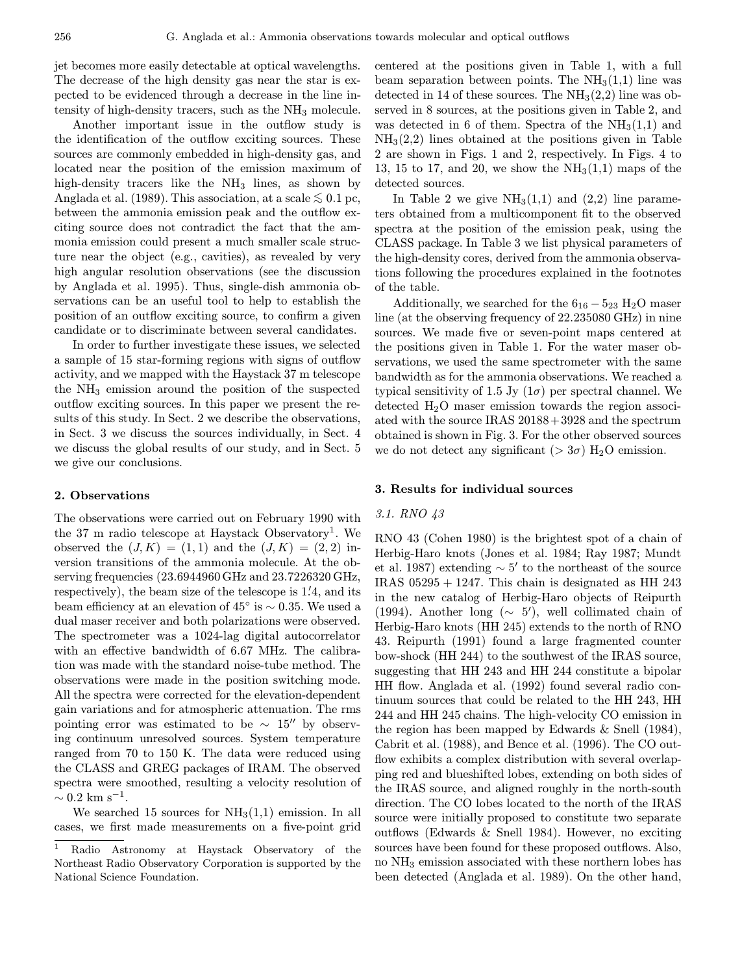jet becomes more easily detectable at optical wavelengths. The decrease of the high density gas near the star is expected to be evidenced through a decrease in the line intensity of high-density tracers, such as the  $NH<sub>3</sub>$  molecule.

Another important issue in the outflow study is the identification of the outflow exciting sources. These sources are commonly embedded in high-density gas, and located near the position of the emission maximum of high-density tracers like the  $NH<sub>3</sub>$  lines, as shown by Anglada et al. (1989). This association, at a scale  $\leq 0.1$  pc, between the ammonia emission peak and the outflow exciting source does not contradict the fact that the ammonia emission could present a much smaller scale structure near the object (e.g., cavities), as revealed by very high angular resolution observations (see the discussion by Anglada et al. 1995). Thus, single-dish ammonia observations can be an useful tool to help to establish the position of an outflow exciting source, to confirm a given candidate or to discriminate between several candidates.

In order to further investigate these issues, we selected a sample of 15 star-forming regions with signs of outflow activity, and we mapped with the Haystack 37 m telescope the  $NH<sub>3</sub>$  emission around the position of the suspected outflow exciting sources. In this paper we present the results of this study. In Sect. 2 we describe the observations, in Sect. 3 we discuss the sources individually, in Sect. 4 we discuss the global results of our study, and in Sect. 5 we give our conclusions.

#### 2. Observations

The observations were carried out on February 1990 with the 37 m radio telescope at Haystack Observatory<sup>1</sup>. We observed the  $(J, K) = (1, 1)$  and the  $(J, K) = (2, 2)$  inversion transitions of the ammonia molecule. At the observing frequencies (23.6944960GHz and 23.7226320 GHz, respectively), the beam size of the telescope is 1.4, and its beam efficiency at an elevation of 45° is  $\sim$  0.35. We used a dual maser receiver and both polarizations were observed. The spectrometer was a 1024-lag digital autocorrelator with an effective bandwidth of 6.67 MHz. The calibration was made with the standard noise-tube method. The observations were made in the position switching mode. All the spectra were corrected for the elevation-dependent gain variations and for atmospheric attenuation. The rms pointing error was estimated to be  $\sim 15''$  by observing continuum unresolved sources. System temperature ranged from 70 to 150 K. The data were reduced using the CLASS and GREG packages of IRAM. The observed spectra were smoothed, resulting a velocity resolution of  $\sim 0.2~\rm km~s^{-1}.$ 

We searched 15 sources for  $NH<sub>3</sub>(1,1)$  emission. In all cases, we first made measurements on a five-point grid

centered at the positions given in Table 1, with a full beam separation between points. The  $NH<sub>3</sub>(1,1)$  line was detected in 14 of these sources. The  $NH<sub>3</sub>(2,2)$  line was observed in 8 sources, at the positions given in Table 2, and was detected in 6 of them. Spectra of the  $NH<sub>3</sub>(1,1)$  and  $NH<sub>3</sub>(2,2)$  lines obtained at the positions given in Table 2 are shown in Figs. 1 and 2, respectively. In Figs. 4 to 13, 15 to 17, and 20, we show the  $NH<sub>3</sub>(1,1)$  maps of the detected sources.

In Table 2 we give  $NH<sub>3</sub>(1,1)$  and  $(2,2)$  line parameters obtained from a multicomponent fit to the observed spectra at the position of the emission peak, using the CLASS package. In Table 3 we list physical parameters of the high-density cores, derived from the ammonia observations following the procedures explained in the footnotes of the table.

Additionally, we searched for the  $6_{16} - 5_{23}$  H<sub>2</sub>O maser line (at the observing frequency of 22.235080 GHz) in nine sources. We made five or seven-point maps centered at the positions given in Table 1. For the water maser observations, we used the same spectrometer with the same bandwidth as for the ammonia observations. We reached a typical sensitivity of 1.5 Jy  $(1\sigma)$  per spectral channel. We detected  $H_2O$  maser emission towards the region associated with the source IRAS 20188+3928 and the spectrum obtained is shown in Fig. 3. For the other observed sources we do not detect any significant ( $> 3\sigma$ ) H<sub>2</sub>O emission.

### 3. Results for individual sources

#### 3.1. RNO 43

RNO 43 (Cohen 1980) is the brightest spot of a chain of Herbig-Haro knots (Jones et al. 1984; Ray 1987; Mundt et al. 1987) extending  $\sim 5'$  to the northeast of the source IRAS  $05295 + 1247$ . This chain is designated as HH 243 in the new catalog of Herbig-Haro objects of Reipurth (1994). Another long  $(\sim 5')$ , well collimated chain of Herbig-Haro knots (HH 245) extends to the north of RNO 43. Reipurth (1991) found a large fragmented counter bow-shock (HH 244) to the southwest of the IRAS source, suggesting that HH 243 and HH 244 constitute a bipolar HH flow. Anglada et al. (1992) found several radio continuum sources that could be related to the HH 243, HH 244 and HH 245 chains. The high-velocity CO emission in the region has been mapped by Edwards & Snell (1984), Cabrit et al. (1988), and Bence et al. (1996). The CO outflow exhibits a complex distribution with several overlapping red and blueshifted lobes, extending on both sides of the IRAS source, and aligned roughly in the north-south direction. The CO lobes located to the north of the IRAS source were initially proposed to constitute two separate outflows (Edwards & Snell 1984). However, no exciting sources have been found for these proposed outflows. Also, no NH<sup>3</sup> emission associated with these northern lobes has been detected (Anglada et al. 1989). On the other hand,

<sup>1</sup> Radio Astronomy at Haystack Observatory of the Northeast Radio Observatory Corporation is supported by the National Science Foundation.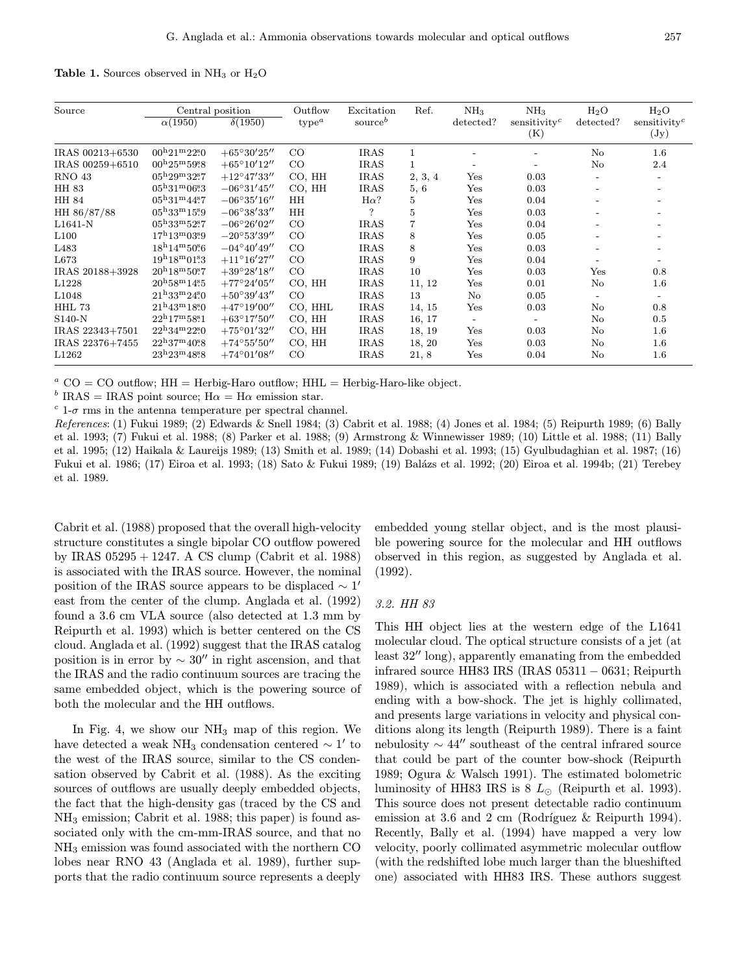Table 1. Sources observed in  $NH<sub>3</sub>$  or  $H<sub>2</sub>O$ 

| Source           |                                                             | Central position                          | Outflow   | Excitation          | Ref.           | NH <sub>3</sub>          | NH <sub>3</sub>          | $H_2O$                       | $H_2O$                   |
|------------------|-------------------------------------------------------------|-------------------------------------------|-----------|---------------------|----------------|--------------------------|--------------------------|------------------------------|--------------------------|
|                  | $\alpha(1950)$                                              | $\delta(1950)$                            | $type^a$  | source <sup>b</sup> |                | detected?                | sensitivity <sup>c</sup> | detected?                    | sensitivity <sup>c</sup> |
|                  |                                                             |                                           |           |                     |                |                          | (K)                      |                              | $(\mathrm{Jy})$          |
| IRAS 00213+6530  | $00^{\rm h}21^{\rm m}22^{\rm s}0$                           | $+65^{\circ}30^{\prime}25^{\prime\prime}$ | CO        | <b>IRAS</b>         | 1              |                          |                          | $\rm No$                     | 1.6                      |
| IRAS 00259+6510  | $00h25m59s8$                                                | $+65^{\circ}10'12''$                      | CO        | <b>IRAS</b>         | $\mathbf{1}$   | $\overline{\phantom{0}}$ |                          | $\rm No$                     | 2.4                      |
| <b>RNO 43</b>    | $05^{\rm h}29^{\rm m}32^{\rm s}7$                           | $+12^{\circ}47'33''$                      | CO, HH    | <b>IRAS</b>         | 2, 3, 4        | Yes                      | 0.03                     | $\overline{\phantom{0}}$     | $\overline{\phantom{0}}$ |
| HH 83            | $05^{\rm h}31^{\rm m}06\overset{\rm s}{\phantom{}_{\sim}}3$ | $-06^{\circ}31'45''$                      | CO, HH    | <b>IRAS</b>         | 5, 6           | Yes                      | 0.03                     | $\qquad \qquad \blacksquare$ |                          |
| HH 84            | $05^{\rm h}31^{\rm m}44^{\rm s}7$                           | $-06^{\circ}35'16''$                      | <b>HH</b> | $H\alpha$ ?         | 5              | Yes                      | 0.04                     |                              |                          |
| HH 86/87/88      | $05^{\rm h}33^{\rm m}15^{\rm s}9$                           | $-06^{\circ}38'33''$                      | <b>HH</b> | $\overline{\cdot}$  | $\bf 5$        | Yes                      | 0.03                     | $\overline{\phantom{0}}$     |                          |
| L1641-N          | $05^{\rm h}33^{\rm m}52^{\rm s}7$                           | $-06^{\circ}26'02''$                      | CO        | <b>IRAS</b>         | $\overline{7}$ | Yes                      | 0.04                     |                              |                          |
| L100             | $17^{\rm h}13^{\rm m}0359$                                  | $-20^{\circ}53'39''$                      | CO        | <b>IRAS</b>         | 8              | Yes                      | 0.05                     | $\qquad \qquad \blacksquare$ |                          |
| L <sub>483</sub> | $18^{\rm h}14^{\rm m}50\rlap{.}^{\rm s}6$                   | $-04^{\circ}40'49''$                      | CO        | <b>IRAS</b>         | 8              | Yes                      | 0.03                     | $\overline{\phantom{0}}$     |                          |
| L673             | $19^{\rm h}18^{\rm m}01\overset{\rm s}{\bm{.}}3$            | $+11^{\circ}16'27''$                      | CO        | <b>IRAS</b>         | 9              | Yes                      | 0.04                     | $\qquad \qquad \blacksquare$ |                          |
| IRAS 20188+3928  | $20^{\rm h}18^{\rm m}50\rlap{.}^{\rm s}7$                   | $+39^{\circ}28'18''$                      | CO        | <b>IRAS</b>         | 10             | Yes                      | 0.03                     | Yes                          | 0.8                      |
| L1228            | $20^{\rm h}58^{\rm m}14\rlap{.}^{\rm s}5$                   | $+77^{\circ}24'05''$                      | CO, HH    | <b>IRAS</b>         | 11, 12         | Yes                      | 0.01                     | $\rm No$                     | $1.6\,$                  |
| L1048            | $21^{\rm h}33^{\rm m}24\rlap{.}^{\rm s}0$                   | $+50^{\circ}39'43''$                      | CO        | <b>IRAS</b>         | 13             | No                       | 0.05                     | $\overline{\phantom{0}}$     | $\overline{\phantom{0}}$ |
| HHL 73           | $21^{\rm h}43^{\rm m}1850$                                  | $+47^{\circ}19'00''$                      | CO, HHL   | <b>IRAS</b>         | 14, 15         | Yes                      | 0.03                     | $\rm No$                     | 0.8                      |
| $S140-N$         | $22^{\rm h}17^{\rm m}58\rlap{.}^{\rm s}1$                   | $+63^{\circ}17'50''$                      | CO, HH    | <b>IRAS</b>         | 16, 17         | $\overline{\phantom{a}}$ |                          | $\rm No$                     | 0.5                      |
| IRAS 22343+7501  | $22^{\rm h}34^{\rm m}22\rlap{.}^{\rm s}0$                   | $+75^{\circ}01'32''$                      | CO, HH    | <b>IRAS</b>         | 18, 19         | $_{\rm Yes}$             | 0.03                     | $\rm No$                     | $1.6\,$                  |
| IRAS 22376+7455  | $22^{\rm h}37^{\rm m}40\rlap{.}^{\rm s}8$                   | $+74^{\circ}55'50''$                      | CO, HH    | <b>IRAS</b>         | 18, 20         | Yes                      | 0.03                     | $\rm No$                     | $1.6\,$                  |
| L1262            | $23^{\rm h}23^{\rm m}48^{\rm s}8$                           | $+74^{\circ}01'08''$                      | CO        | <b>IRAS</b>         | 21, 8          | Yes                      | 0.04                     | $\rm No$                     | $1.6\,$                  |

<sup>a</sup> CO = CO outflow; HH = Herbig-Haro outflow; HHL = Herbig-Haro-like object.

<sup>b</sup> IRAS = IRAS point source;  $H\alpha = H\alpha$  emission star.

 $c$  1- $\sigma$  rms in the antenna temperature per spectral channel.

References: (1) Fukui 1989; (2) Edwards & Snell 1984; (3) Cabrit et al. 1988; (4) Jones et al. 1984; (5) Reipurth 1989; (6) Bally et al. 1993; (7) Fukui et al. 1988; (8) Parker et al. 1988; (9) Armstrong & Winnewisser 1989; (10) Little et al. 1988; (11) Bally et al. 1995; (12) Haikala & Laureijs 1989; (13) Smith et al. 1989; (14) Dobashi et al. 1993; (15) Gyulbudaghian et al. 1987; (16) Fukui et al. 1986; (17) Eiroa et al. 1993; (18) Sato & Fukui 1989; (19) Balázs et al. 1992; (20) Eiroa et al. 1994b; (21) Terebey et al. 1989.

Cabrit et al. (1988) proposed that the overall high-velocity structure constitutes a single bipolar CO outflow powered by IRAS 05295 + 1247. A CS clump (Cabrit et al. 1988) is associated with the IRAS source. However, the nominal position of the IRAS source appears to be displaced  $\sim 1'$ east from the center of the clump. Anglada et al. (1992) found a 3.6 cm VLA source (also detected at 1.3 mm by Reipurth et al. 1993) which is better centered on the CS cloud. Anglada et al. (1992) suggest that the IRAS catalog position is in error by  $\sim 30''$  in right ascension, and that the IRAS and the radio continuum sources are tracing the same embedded object, which is the powering source of both the molecular and the HH outflows.

In Fig. 4, we show our  $NH_3$  map of this region. We have detected a weak NH<sub>3</sub> condensation centered  $\sim$  1' to the west of the IRAS source, similar to the CS condensation observed by Cabrit et al. (1988). As the exciting sources of outflows are usually deeply embedded objects, the fact that the high-density gas (traced by the CS and NH<sup>3</sup> emission; Cabrit et al. 1988; this paper) is found associated only with the cm-mm-IRAS source, and that no NH<sup>3</sup> emission was found associated with the northern CO lobes near RNO 43 (Anglada et al. 1989), further supports that the radio continuum source represents a deeply

embedded young stellar object, and is the most plausible powering source for the molecular and HH outflows observed in this region, as suggested by Anglada et al. (1992).

## 3.2. HH 83

This HH object lies at the western edge of the L1641 molecular cloud. The optical structure consists of a jet (at least 32" long), apparently emanating from the embedded infrared source HH83 IRS (IRAS 05311 − 0631; Reipurth 1989), which is associated with a reflection nebula and ending with a bow-shock. The jet is highly collimated, and presents large variations in velocity and physical conditions along its length (Reipurth 1989). There is a faint nebulosity  $\sim 44''$  southeast of the central infrared source that could be part of the counter bow-shock (Reipurth 1989; Ogura & Walsch 1991). The estimated bolometric luminosity of HH83 IRS is  $8 L_{\odot}$  (Reipurth et al. 1993). This source does not present detectable radio continuum emission at 3.6 and 2 cm (Rodríguez  $\&$  Reipurth 1994). Recently, Bally et al. (1994) have mapped a very low velocity, poorly collimated asymmetric molecular outflow (with the redshifted lobe much larger than the blueshifted one) associated with HH83 IRS. These authors suggest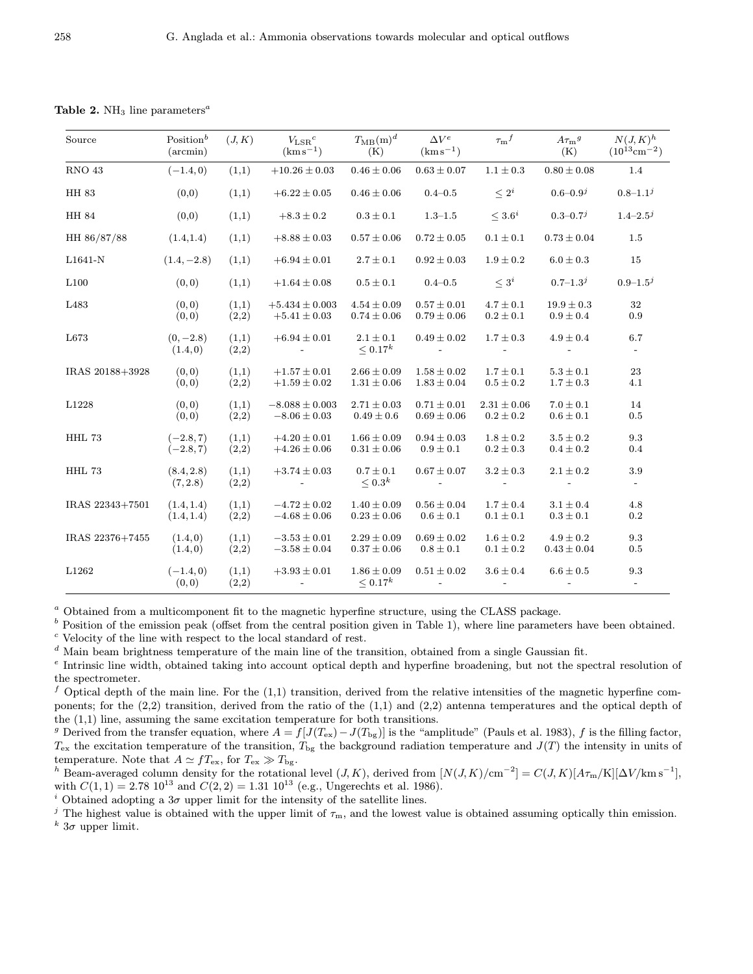| Source           | Position $^b$<br>$(\arcsin)$ | (J, K)         | $V_{\rm LSR}{}^c$<br>$(kms^{-1})$            | $T_{\rm MB}({\rm m})^d$<br>(K)     | $\Delta V^e$<br>$(kms^{-1})$       | $\tau_{\mathrm{m}}{}^f$          | $A\tau_{\rm m}{}^g$<br>(K)       | $N(J,K)^h$<br>$(10^{13} \text{cm}^{-2})$ |
|------------------|------------------------------|----------------|----------------------------------------------|------------------------------------|------------------------------------|----------------------------------|----------------------------------|------------------------------------------|
| $\rm RNO$ $43$   | $(-1.4, 0)$                  | (1,1)          | $+10.26 \pm 0.03$                            | $0.46 \pm 0.06$                    | $0.63 \pm 0.07$                    | $1.1\pm0.3$                      | $0.80\pm0.08$                    | $1.4\,$                                  |
| HH 83            | (0,0)                        | (1,1)          | $+6.22 \pm 0.05$                             | $0.46 \pm 0.06$                    | $0.4 - 0.5$                        | $\leq 2^i$                       | $0.6 - 0.9^{j}$                  | $0.8 - 1.1^{j}$                          |
| HH 84            | (0,0)                        | (1,1)          | $+8.3 \pm 0.2$                               | $0.3 \pm 0.1$                      | $1.3 - 1.5$                        | $\leq 3.6^i$                     | $0.3 - 0.7^{j}$                  | $1.4 - 2.5^{j}$                          |
| HH 86/87/88      | (1.4, 1.4)                   | (1,1)          | $+8.88 \pm 0.03$                             | $0.57 \pm 0.06$                    | $0.72 \pm 0.05$                    | $0.1 \pm 0.1$                    | $0.73 \pm 0.04$                  | 1.5                                      |
| L1641-N          | $(1.4, -2.8)$                | (1,1)          | $+6.94 \pm 0.01$                             | $2.7 \pm 0.1$                      | $0.92 \pm 0.03$                    | $1.9 \pm 0.2$                    | $6.0 \pm 0.3$                    | 15                                       |
| L100             | (0, 0)                       | (1,1)          | $+1.64 \pm 0.08$                             | $0.5 \pm 0.1$                      | 0.4–0.5                            | $\leq 3^i$                       | $0.7 - 1.3^{j}$                  | $0.9 - 1.5^{j}$                          |
| L <sub>483</sub> | (0, 0)<br>(0, 0)             | (1,1)<br>(2,2) | $+5.434 \pm 0.003$<br>$+5.41 \pm 0.03$       | $4.54 \pm 0.09$<br>$0.74 \pm 0.06$ | $0.57 \pm 0.01$<br>$0.79 \pm 0.06$ | $4.7 \pm 0.1$<br>$0.2 \pm 0.1$   | $19.9 \pm 0.3$<br>$0.9 \pm 0.4$  | 32<br>0.9                                |
| L673             | $(0, -2.8)$<br>(1.4, 0)      | (1,1)<br>(2,2) | $+6.94 \pm 0.01$<br>$\sim 100$               | $2.1 \pm 0.1$<br>$\leq 0.17^{k}$   | $0.49 \pm 0.02$<br>$\sim$          | $1.7 \pm 0.3$<br>$\sim$          | $4.9 \pm 0.4$<br>$\sim$          | 6.7                                      |
| IRAS 20188+3928  | (0, 0)<br>(0, 0)             | (1,1)<br>(2,2) | $+1.57 \pm 0.01$<br>$+1.59 \pm 0.02$         | $2.66 \pm 0.09$<br>$1.31 \pm 0.06$ | $1.58 \pm 0.02$<br>$1.83 \pm 0.04$ | $1.7 \pm 0.1$<br>$0.5 \pm 0.2$   | $5.3 \pm 0.1$<br>$1.7 \pm 0.3$   | 23<br>4.1                                |
| L1228            | (0, 0)<br>(0, 0)             | (1,1)<br>(2,2) | $-8.088 \pm 0.003$<br>$-8.06 \pm 0.03$       | $2.71 \pm 0.03$<br>$0.49 \pm 0.6$  | $0.71 \pm 0.01$<br>$0.69 \pm 0.06$ | $2.31 \pm 0.06$<br>$0.2 \pm 0.2$ | $7.0 \pm 0.1$<br>$0.6 \pm 0.1$   | 14<br>0.5                                |
| HHL 73           | $(-2.8, 7)$<br>$(-2.8, 7)$   | (1,1)<br>(2,2) | $+4.20\pm0.01$<br>$+4.26 \pm 0.06$           | $1.66 \pm 0.09$<br>$0.31 \pm 0.06$ | $0.94 \pm 0.03$<br>$0.9 \pm 0.1$   | $1.8 \pm 0.2$<br>$0.2 \pm 0.3$   | $3.5 \pm 0.2$<br>$0.4 \pm 0.2$   | $9.3\,$<br>0.4                           |
| HHL 73           | (8.4, 2.8)<br>(7, 2.8)       | (1,1)<br>(2,2) | $+3.74 \pm 0.03$<br><b>Contract Contract</b> | $0.7 \pm 0.1$<br>$\leq 0.3^k$      | $0.67 \pm 0.07$                    | $3.2 \pm 0.3$<br>$\sim$          | $2.1 \pm 0.2$                    | 3.9<br>$\overline{\phantom{a}}$          |
| IRAS 22343+7501  | (1.4, 1.4)<br>(1.4, 1.4)     | (1,1)<br>(2,2) | $-4.72 \pm 0.02$<br>$-4.68 \pm 0.06$         | $1.40 \pm 0.09$<br>$0.23 \pm 0.06$ | $0.56 \pm 0.04$<br>$0.6 \pm 0.1$   | $1.7 \pm 0.4$<br>$0.1 \pm 0.1$   | $3.1 \pm 0.4$<br>$0.3 \pm 0.1$   | 4.8<br>0.2                               |
| IRAS 22376+7455  | (1.4, 0)<br>(1.4, 0)         | (1,1)<br>(2,2) | $-3.53\pm0.01$<br>$-3.58 \pm 0.04$           | $2.29 \pm 0.09$<br>$0.37 \pm 0.06$ | $0.69 \pm 0.02$<br>$0.8 \pm 0.1$   | $1.6 \pm 0.2$<br>$0.1 \pm 0.2$   | $4.9 \pm 0.2$<br>$0.43 \pm 0.04$ | 9.3<br>0.5                               |
| L1262            | $(-1.4, 0)$<br>(0,0)         | (1,1)<br>(2,2) | $+3.93 \pm 0.01$<br><b>Contract Contract</b> | $1.86 \pm 0.09$<br>$\leq 0.17^k$   | $0.51 \pm 0.02$                    | $3.6 \pm 0.4$                    | $6.6 \pm 0.5$                    | 9.3<br>$\sim$                            |

Table 2. NH<sub>3</sub> line parameters<sup> $a$ </sup>

<sup>a</sup> Obtained from a multicomponent fit to the magnetic hyperfine structure, using the CLASS package.

 $<sup>b</sup>$  Position of the emission peak (offset from the central position given in Table 1), where line parameters have been obtained.</sup>  $c$  Velocity of the line with respect to the local standard of rest.

 $d$  Main beam brightness temperature of the main line of the transition, obtained from a single Gaussian fit.

<sup>e</sup> Intrinsic line width, obtained taking into account optical depth and hyperfine broadening, but not the spectral resolution of the spectrometer.

f Optical depth of the main line. For the  $(1,1)$  transition, derived from the relative intensities of the magnetic hyperfine components; for the (2,2) transition, derived from the ratio of the (1,1) and (2,2) antenna temperatures and the optical depth of the (1,1) line, assuming the same excitation temperature for both transitions.

g Derived from the transfer equation, where  $A = f[J(T_{ex}) - J(T_{bg})]$  is the "amplitude" (Pauls et al. 1983), f is the filling factor,  $T_{\rm ex}$  the excitation temperature of the transition,  $T_{\rm bg}$  the background radiation temperature and  $J(T)$  the intensity in units of temperature. Note that  $A \simeq f T_{\text{ex}}$ , for  $T_{\text{ex}} \gg T_{\text{bg}}$ .

h Beam-averaged column density for the rotational level  $(J, K)$ , derived from  $[N(J, K)/cm^{-2}] = C(J, K)[A\tau_m/K][\Delta V/\text{km s}^{-1}]$ , with  $C(1, 1) = 2.78 \times 10^{13}$  and  $C(2, 2) = 1.31 \times 10^{13}$  (e.g., Ungerechts et al. 1986).

<sup>i</sup> Obtained adopting a  $3\sigma$  upper limit for the intensity of the satellite lines.

<sup>j</sup> The highest value is obtained with the upper limit of  $\tau_m$ , and the lowest value is obtained assuming optically thin emission.

<sup>k</sup> 3σ upper limit.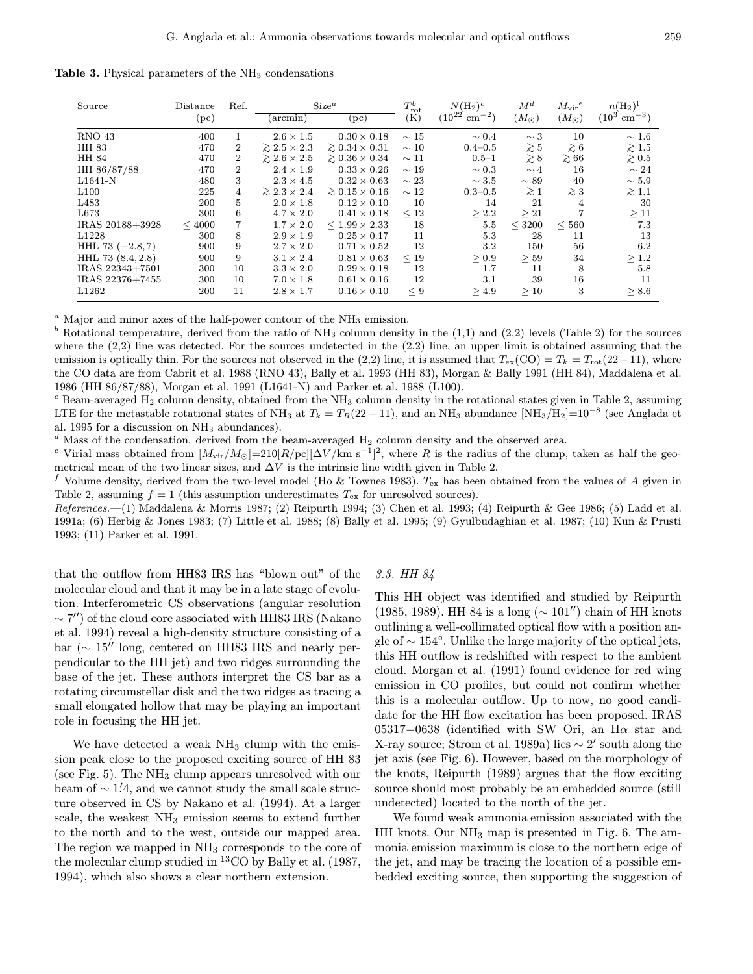Table 3. Physical parameters of the  $NH<sub>3</sub>$  condensations

| Source             | Distance   | Ref.           | Size <sup>a</sup>        |                            | $T_{\rm rot}^b$ | $N(\mathrm{H}_2)^c$           | $M^d$         | $M_{\rm vir}^{\phantom{\rm vir}e}$ | $n(\mathrm{H}_2)^f$      |
|--------------------|------------|----------------|--------------------------|----------------------------|-----------------|-------------------------------|---------------|------------------------------------|--------------------------|
|                    | (pc)       |                | $(\arcsin)$              | $ {\rm pc} $               | (K)             | $(10^{22}$<br>$\rm cm^{-2}$ ) | $(M_{\odot})$ | $(M_{\odot})$                      | $(10^3 \;{\rm cm}^{-3})$ |
| <b>RNO 43</b>      | 400        | 1              | $2.6 \times 1.5$         | $0.30 \times 0.18$         | $\sim 15$       | $\sim 0.4$                    | $\sim$ 3      | 10                                 | $\sim 1.6$               |
| HH 83              | 470        | 2              | $\geq 2.5 \times 2.3$    | $\geq 0.34 \times 0.31$    | $\sim 10$       | $0.4 - 0.5$                   | $\gtrsim 5$   | $\gtrsim 6$                        | $\gtrsim 1.5$            |
| HH 84              | 470        | $\overline{2}$ | $\gtrsim 2.6 \times 2.5$ | $\gtrsim 0.36 \times 0.34$ | $\sim$ 11       | $0.5 - 1$                     | $\gtrsim$ 8   | $\gtrsim 66$                       | $\gtrsim 0.5$            |
| HH 86/87/88        | 470        | 2              | $2.4 \times 1.9$         | $0.33 \times 0.26$         | $\sim$ 19       | $\sim 0.3$                    | $\sim 4$      | 16                                 | $\sim 24$                |
| $L1641-N$          | 480        | 3              | $2.3 \times 4.5$         | $0.32 \times 0.63$         | $\sim 23$       | $\sim 3.5$                    | $\sim$ 89     | 40                                 | $\sim 5.9$               |
| L100               | 225        | 4              | $\geq 2.3 \times 2.4$    | $\geq 0.15 \times 0.16$    | $\sim 12$       | $0.3 - 0.5$                   | $\gtrsim$ 1   | $\gtrsim$ 3                        | $\gtrsim$ 1.1            |
| L <sub>483</sub>   | 200        | 5              | $2.0 \times 1.8$         | $0.12 \times 0.10$         | 10              | 14                            | 21            | 4                                  | 30                       |
| L673               | 300        | 6              | $4.7 \times 2.0$         | $0.41 \times 0.18$         | $\leq 12$       | > 2.2                         | $\geq 21$     |                                    | $\geq 11$                |
| IRAS 20188+3928    | ${}<$ 4000 |                | $1.7 \times 2.0$         | $< 1.99 \times 2.33$       | 18              | 5.5                           | $<$ 3200      | < 560                              | 7.3                      |
| L1228              | 300        | 8              | $2.9 \times 1.9$         | $0.25 \times 0.17$         | 11              | 5.3                           | 28            | 11                                 | 13                       |
| HHL 73 $(-2.8, 7)$ | 900        | 9              | $2.7 \times 2.0$         | $0.71 \times 0.52$         | 12              | 3.2                           | 150           | 56                                 | 6.2                      |
| HHL 73 (8.4, 2.8)  | 900        | 9              | $3.1 \times 2.4$         | $0.81 \times 0.63$         | < 19            | > 0.9                         | $\geq 59$     | 34                                 | $\geq 1.2$               |
| IRAS 22343+7501    | 300        | 10             | $3.3 \times 2.0$         | $0.29 \times 0.18$         | 12              | 1.7                           | 11            | 8                                  | 5.8                      |
| IRAS 22376+7455    | 300        | 10             | $7.0 \times 1.8$         | $0.61 \times 0.16$         | 12              | 3.1                           | 39            | 16                                 | 11                       |
| L1262              | 200        | 11             | $2.8 \times 1.7$         | $0.16 \times 0.10$         | < 9             | >4.9                          | >10           | 3                                  | > 8.6                    |

 $a$  Major and minor axes of the half-power contour of the NH<sub>3</sub> emission.

<sup>b</sup> Rotational temperature, derived from the ratio of  $NH<sub>3</sub>$  column density in the (1,1) and (2,2) levels (Table 2) for the sources where the  $(2,2)$  line was detected. For the sources undetected in the  $(2,2)$  line, an upper limit is obtained assuming that the emission is optically thin. For the sources not observed in the (2,2) line, it is assumed that  $T_{ex}(CO) = T_k = T_{rot}(22-11)$ , where the CO data are from Cabrit et al. 1988 (RNO 43), Bally et al. 1993 (HH 83), Morgan & Bally 1991 (HH 84), Maddalena et al. 1986 (HH 86/87/88), Morgan et al. 1991 (L1641-N) and Parker et al. 1988 (L100).

 $c$  Beam-averaged H<sub>2</sub> column density, obtained from the NH<sub>3</sub> column density in the rotational states given in Table 2, assuming LTE for the metastable rotational states of NH<sub>3</sub> at  $T_k = T_R(22 - 11)$ , and an NH<sub>3</sub> abundance [NH<sub>3</sub>/H<sub>2</sub>]=10<sup>-8</sup> (see Anglada et al. 1995 for a discussion on NH<sub>3</sub> abundances).  $\frac{d}{dx}$  Mass of the condensation, derived from the beam-averaged H<sub>2</sub> column density and the observed area.

<sup>e</sup> Virial mass obtained from  $[M_{\rm vir}/M_{\odot}]=210[R/\rm{pc}][\Delta V/\rm{km~s}^{-1}]^2$ , where R is the radius of the clump, taken as half the geometrical mean of the two linear sizes, and  $\Delta V$  is the intrinsic line width given in Table 2.

<sup>f</sup> Volume density, derived from the two-level model (Ho & Townes 1983).  $T_{ex}$  has been obtained from the values of A given in Table 2, assuming  $f = 1$  (this assumption underestimates  $T_{\rm ex}$  for unresolved sources).

 $References. —(1)$  Maddalena & Morris 1987; (2) Reipurth 1994; (3) Chen et al. 1993; (4) Reipurth & Gee 1986; (5) Ladd et al. 1991a; (6) Herbig & Jones 1983; (7) Little et al. 1988; (8) Bally et al. 1995; (9) Gyulbudaghian et al. 1987; (10) Kun & Prusti 1993; (11) Parker et al. 1991.

that the outflow from HH83 IRS has "blown out" of the molecular cloud and that it may be in a late stage of evolution. Interferometric CS observations (angular resolution  $\sim$  7") of the cloud core associated with HH83 IRS (Nakano et al. 1994) reveal a high-density structure consisting of a bar ( $\sim 15$ <sup>"</sup> long, centered on HH83 IRS and nearly perpendicular to the HH jet) and two ridges surrounding the base of the jet. These authors interpret the CS bar as a rotating circumstellar disk and the two ridges as tracing a small elongated hollow that may be playing an important role in focusing the HH jet.

We have detected a weak  $NH<sub>3</sub>$  clump with the emission peak close to the proposed exciting source of HH 83 (see Fig. 5). The  $NH<sub>3</sub>$  clump appears unresolved with our beam of  $\sim$  1.4, and we cannot study the small scale structure observed in CS by Nakano et al. (1994). At a larger scale, the weakest  $NH<sub>3</sub>$  emission seems to extend further to the north and to the west, outside our mapped area. The region we mapped in  $NH<sub>3</sub>$  corresponds to the core of the molecular clump studied in <sup>13</sup>CO by Bally et al. (1987, 1994), which also shows a clear northern extension.

## 3.3. HH 84

This HH object was identified and studied by Reipurth (1985, 1989). HH 84 is a long ( $\sim 101''$ ) chain of HH knots outlining a well-collimated optical flow with a position angle of  $\sim 154^\circ$ . Unlike the large majority of the optical jets, this HH outflow is redshifted with respect to the ambient cloud. Morgan et al. (1991) found evidence for red wing emission in CO profiles, but could not confirm whether this is a molecular outflow. Up to now, no good candidate for the HH flow excitation has been proposed. IRAS 05317-0638 (identified with SW Ori, an H $\alpha$  star and X-ray source; Strom et al. 1989a) lies  $\sim$  2' south along the jet axis (see Fig. 6). However, based on the morphology of the knots, Reipurth (1989) argues that the flow exciting source should most probably be an embedded source (still undetected) located to the north of the jet.

We found weak ammonia emission associated with the  $HH$  knots. Our  $NH_3$  map is presented in Fig. 6. The ammonia emission maximum is close to the northern edge of the jet, and may be tracing the location of a possible embedded exciting source, then supporting the suggestion of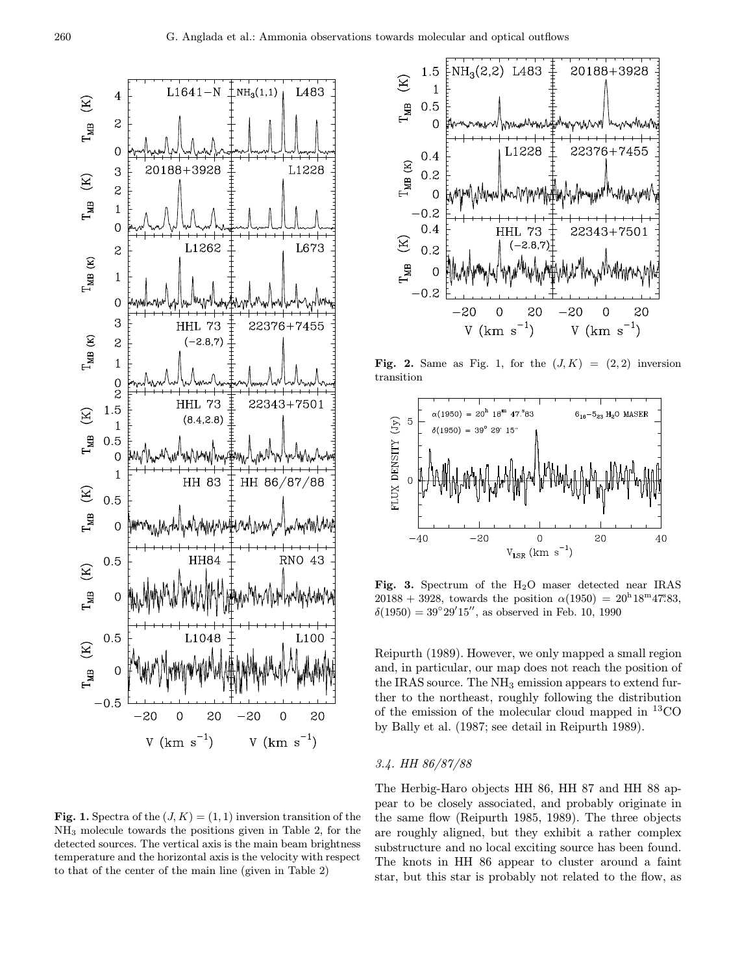

**Fig. 1.** Spectra of the  $(J, K) = (1, 1)$  inversion transition of the NH<sup>3</sup> molecule towards the positions given in Table 2, for the detected sources. The vertical axis is the main beam brightness temperature and the horizontal axis is the velocity with respect to that of the center of the main line (given in Table 2)



Fig. 2. Same as Fig. 1, for the  $(J, K) = (2, 2)$  inversion transition



Fig. 3. Spectrum of the H2O maser detected near IRAS  $20188 + 3928$ , towards the position  $\alpha(1950) = 20^{\text{h}}18^{\text{m}}47\degree 83$ ,  $\delta(1950) = 39^{\circ}29'15''$ , as observed in Feb. 10, 1990

Reipurth (1989). However, we only mapped a small region and, in particular, our map does not reach the position of the IRAS source. The NH<sub>3</sub> emission appears to extend further to the northeast, roughly following the distribution of the emission of the molecular cloud mapped in  ${}^{13}CO$ by Bally et al. (1987; see detail in Reipurth 1989).

# 3.4. HH 86/87/88

The Herbig-Haro objects HH 86, HH 87 and HH 88 appear to be closely associated, and probably originate in the same flow (Reipurth 1985, 1989). The three objects are roughly aligned, but they exhibit a rather complex substructure and no local exciting source has been found. The knots in HH 86 appear to cluster around a faint star, but this star is probably not related to the flow, as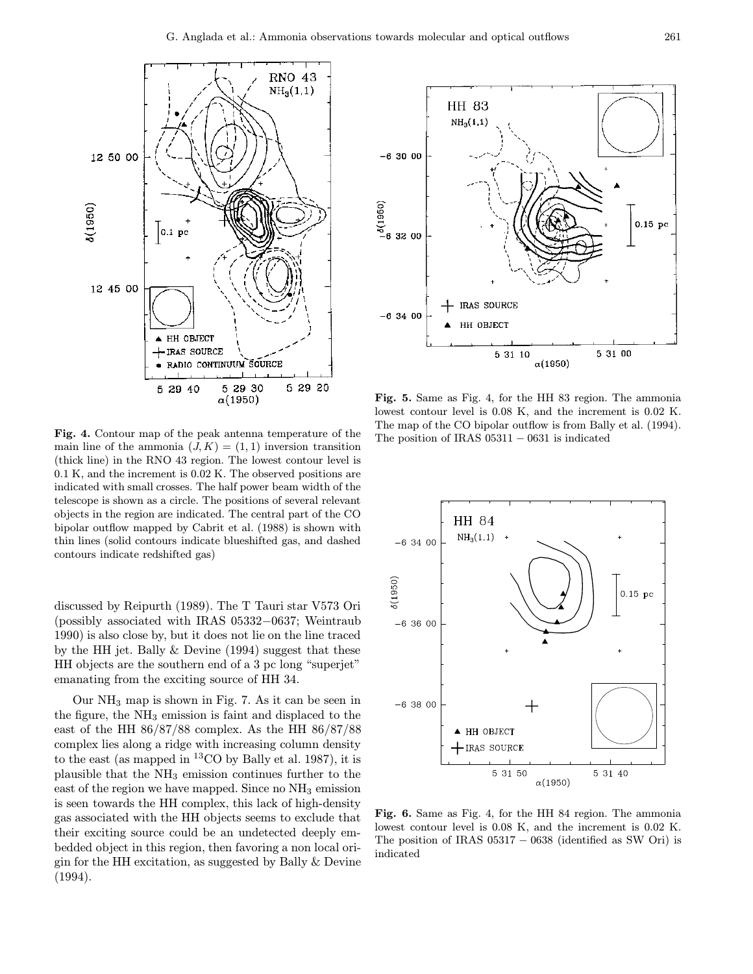

Fig. 4. Contour map of the peak antenna temperature of the main line of the ammonia  $(J, K) = (1, 1)$  inversion transition (thick line) in the RNO 43 region. The lowest contour level is 0.1 K, and the increment is 0.02 K. The observed positions are indicated with small crosses. The half power beam width of the telescope is shown as a circle. The positions of several relevant objects in the region are indicated. The central part of the CO bipolar outflow mapped by Cabrit et al. (1988) is shown with thin lines (solid contours indicate blueshifted gas, and dashed contours indicate redshifted gas)

discussed by Reipurth (1989). The T Tauri star V573 Ori (possibly associated with IRAS 05332−0637; Weintraub 1990) is also close by, but it does not lie on the line traced by the HH jet. Bally & Devine (1994) suggest that these HH objects are the southern end of a 3 pc long "superjet" emanating from the exciting source of HH 34.

Our  $NH_3$  map is shown in Fig. 7. As it can be seen in the figure, the  $NH<sub>3</sub>$  emission is faint and displaced to the east of the HH 86/87/88 complex. As the HH 86/87/88 complex lies along a ridge with increasing column density to the east (as mapped in  ${}^{13}$ CO by Bally et al. 1987), it is plausible that the  $NH<sub>3</sub>$  emission continues further to the east of the region we have mapped. Since no  $NH<sub>3</sub>$  emission is seen towards the HH complex, this lack of high-density gas associated with the HH objects seems to exclude that their exciting source could be an undetected deeply embedded object in this region, then favoring a non local origin for the HH excitation, as suggested by Bally & Devine (1994).



Fig. 5. Same as Fig. 4, for the HH 83 region. The ammonia lowest contour level is 0.08 K, and the increment is 0.02 K. The map of the CO bipolar outflow is from Bally et al. (1994). The position of IRAS 05311 − 0631 is indicated



Fig. 6. Same as Fig. 4, for the HH 84 region. The ammonia lowest contour level is 0.08 K, and the increment is 0.02 K. The position of IRAS  $05317 - 0638$  (identified as SW Ori) is indicated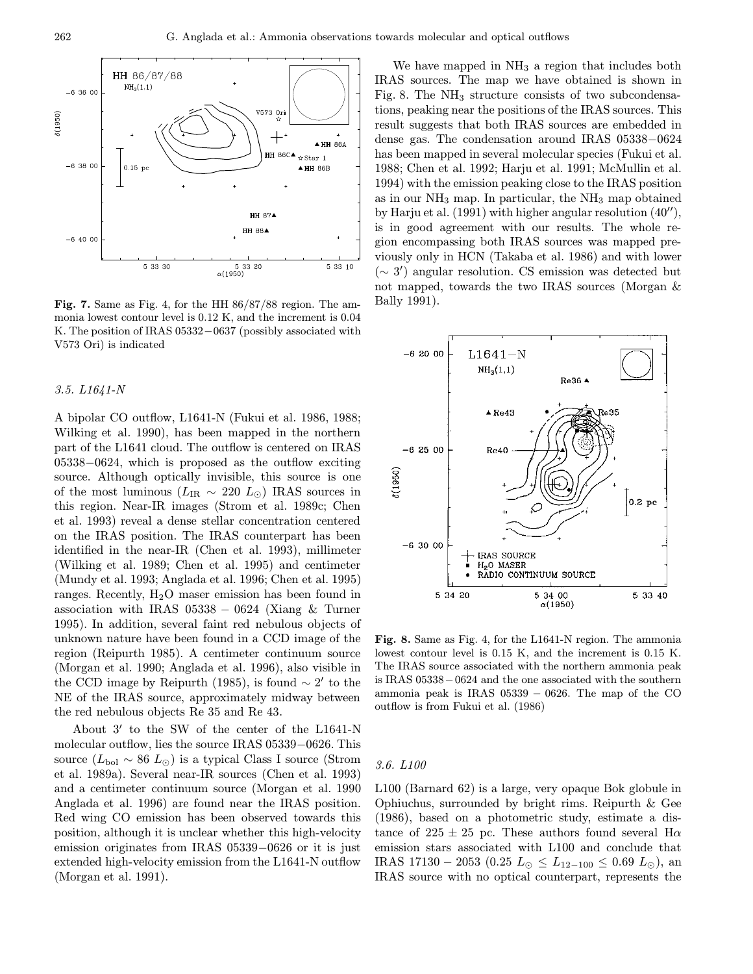

Fig. 7. Same as Fig. 4, for the HH 86/87/88 region. The ammonia lowest contour level is 0.12 K, and the increment is 0.04 K. The position of IRAS 05332−0637 (possibly associated with V573 Ori) is indicated

## 3.5. L1641-N

A bipolar CO outflow, L1641-N (Fukui et al. 1986, 1988; Wilking et al. 1990), has been mapped in the northern part of the L1641 cloud. The outflow is centered on IRAS 05338−0624, which is proposed as the outflow exciting source. Although optically invisible, this source is one of the most luminous ( $L_{IR} \sim 220~L_{\odot}$ ) IRAS sources in this region. Near-IR images (Strom et al. 1989c; Chen et al. 1993) reveal a dense stellar concentration centered on the IRAS position. The IRAS counterpart has been identified in the near-IR (Chen et al. 1993), millimeter (Wilking et al. 1989; Chen et al. 1995) and centimeter (Mundy et al. 1993; Anglada et al. 1996; Chen et al. 1995) ranges. Recently,  $H_2O$  maser emission has been found in association with IRAS  $05338 - 0624$  (Xiang & Turner 1995). In addition, several faint red nebulous objects of unknown nature have been found in a CCD image of the region (Reipurth 1985). A centimeter continuum source (Morgan et al. 1990; Anglada et al. 1996), also visible in the CCD image by Reipurth (1985), is found  $\sim 2'$  to the NE of the IRAS source, approximately midway between the red nebulous objects Re 35 and Re 43.

About  $3'$  to the SW of the center of the L1641-N molecular outflow, lies the source IRAS 05339−0626. This source  $(L_{\text{bol}} \sim 86~L_{\odot})$  is a typical Class I source (Strom et al. 1989a). Several near-IR sources (Chen et al. 1993) and a centimeter continuum source (Morgan et al. 1990 Anglada et al. 1996) are found near the IRAS position. Red wing CO emission has been observed towards this position, although it is unclear whether this high-velocity emission originates from IRAS 05339−0626 or it is just extended high-velocity emission from the L1641-N outflow (Morgan et al. 1991).

We have mapped in  $NH<sub>3</sub>$  a region that includes both IRAS sources. The map we have obtained is shown in Fig. 8. The  $NH<sub>3</sub>$  structure consists of two subcondensations, peaking near the positions of the IRAS sources. This result suggests that both IRAS sources are embedded in dense gas. The condensation around IRAS 05338−0624 has been mapped in several molecular species (Fukui et al. 1988; Chen et al. 1992; Harju et al. 1991; McMullin et al. 1994) with the emission peaking close to the IRAS position as in our  $NH_3$  map. In particular, the  $NH_3$  map obtained by Harju et al.  $(1991)$  with higher angular resolution  $(40'')$ , is in good agreement with our results. The whole region encompassing both IRAS sources was mapped previously only in HCN (Takaba et al. 1986) and with lower  $(∼ 3')$  angular resolution. CS emission was detected but not mapped, towards the two IRAS sources (Morgan & Bally 1991).



Fig. 8. Same as Fig. 4, for the L1641-N region. The ammonia lowest contour level is 0.15 K, and the increment is 0.15 K. The IRAS source associated with the northern ammonia peak is IRAS 05338−0624 and the one associated with the southern ammonia peak is IRAS  $05339 - 0626$ . The map of the CO outflow is from Fukui et al. (1986)

# 3.6. L100

L100 (Barnard 62) is a large, very opaque Bok globule in Ophiuchus, surrounded by bright rims. Reipurth & Gee (1986), based on a photometric study, estimate a distance of  $225 \pm 25$  pc. These authors found several H $\alpha$ emission stars associated with L100 and conclude that IRAS 17130 − 2053 (0.25  $L_{\odot} \leq L_{12-100} \leq 0.69 L_{\odot}$ ), an IRAS source with no optical counterpart, represents the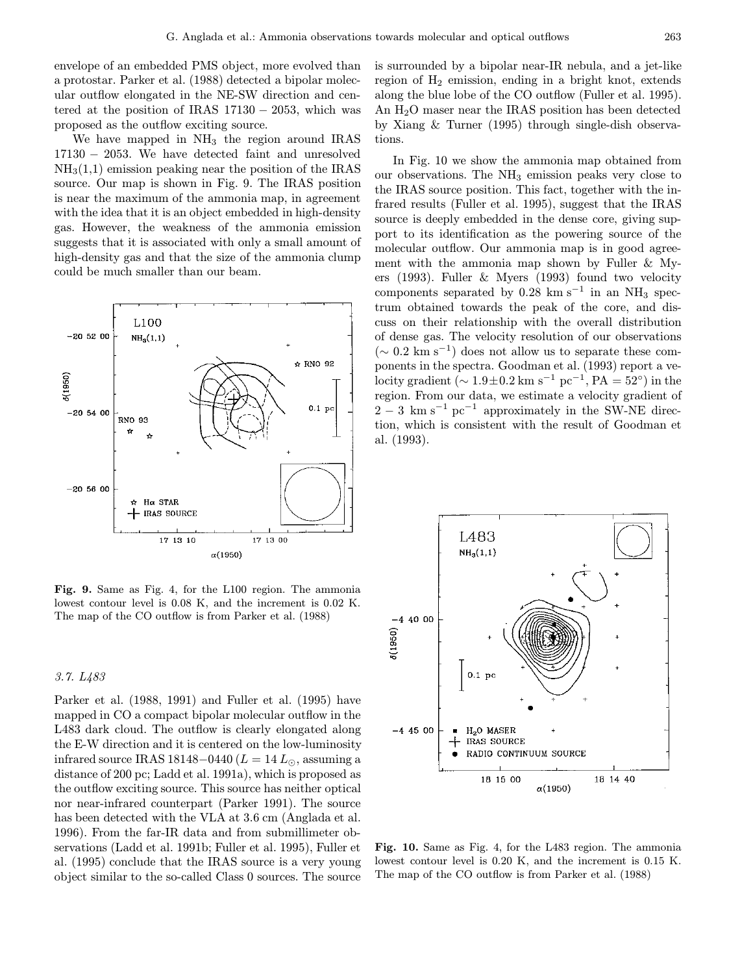envelope of an embedded PMS object, more evolved than a protostar. Parker et al. (1988) detected a bipolar molecular outflow elongated in the NE-SW direction and centered at the position of IRAS  $17130 - 2053$ , which was proposed as the outflow exciting source.

We have mapped in  $NH<sub>3</sub>$  the region around IRAS 17130 − 2053. We have detected faint and unresolved  $NH<sub>3</sub>(1,1)$  emission peaking near the position of the IRAS source. Our map is shown in Fig. 9. The IRAS position is near the maximum of the ammonia map, in agreement with the idea that it is an object embedded in high-density gas. However, the weakness of the ammonia emission suggests that it is associated with only a small amount of high-density gas and that the size of the ammonia clump could be much smaller than our beam.



Fig. 9. Same as Fig. 4, for the L100 region. The ammonia lowest contour level is 0.08 K, and the increment is 0.02 K. The map of the CO outflow is from Parker et al. (1988)

## 3.7. L483

Parker et al. (1988, 1991) and Fuller et al. (1995) have mapped in CO a compact bipolar molecular outflow in the L483 dark cloud. The outflow is clearly elongated along the E-W direction and it is centered on the low-luminosity infrared source IRAS 18148–0440 ( $L = 14 L_{\odot}$ , assuming a distance of 200 pc; Ladd et al. 1991a), which is proposed as the outflow exciting source. This source has neither optical nor near-infrared counterpart (Parker 1991). The source has been detected with the VLA at 3.6 cm (Anglada et al. 1996). From the far-IR data and from submillimeter observations (Ladd et al. 1991b; Fuller et al. 1995), Fuller et al. (1995) conclude that the IRAS source is a very young object similar to the so-called Class 0 sources. The source is surrounded by a bipolar near-IR nebula, and a jet-like region of  $H_2$  emission, ending in a bright knot, extends along the blue lobe of the CO outflow (Fuller et al. 1995). An H2O maser near the IRAS position has been detected by Xiang & Turner (1995) through single-dish observations.

In Fig. 10 we show the ammonia map obtained from our observations. The  $NH<sub>3</sub>$  emission peaks very close to the IRAS source position. This fact, together with the infrared results (Fuller et al. 1995), suggest that the IRAS source is deeply embedded in the dense core, giving support to its identification as the powering source of the molecular outflow. Our ammonia map is in good agreement with the ammonia map shown by Fuller & Myers (1993). Fuller & Myers (1993) found two velocity components separated by  $0.28 \text{ km s}^{-1}$  in an NH<sub>3</sub> spectrum obtained towards the peak of the core, and discuss on their relationship with the overall distribution of dense gas. The velocity resolution of our observations  $(∼ 0.2 \text{ km s}^{-1})$  does not allow us to separate these components in the spectra. Goodman et al. (1993) report a velocity gradient ( $\sim 1.9 \pm 0.2$  km s<sup>-1</sup> pc<sup>-1</sup>, PA = 52°) in the region. From our data, we estimate a velocity gradient of  $2 - 3$  km s<sup>-1</sup> pc<sup>-1</sup> approximately in the SW-NE direction, which is consistent with the result of Goodman et al. (1993).



Fig. 10. Same as Fig. 4, for the L483 region. The ammonia lowest contour level is 0.20 K, and the increment is 0.15 K. The map of the CO outflow is from Parker et al. (1988)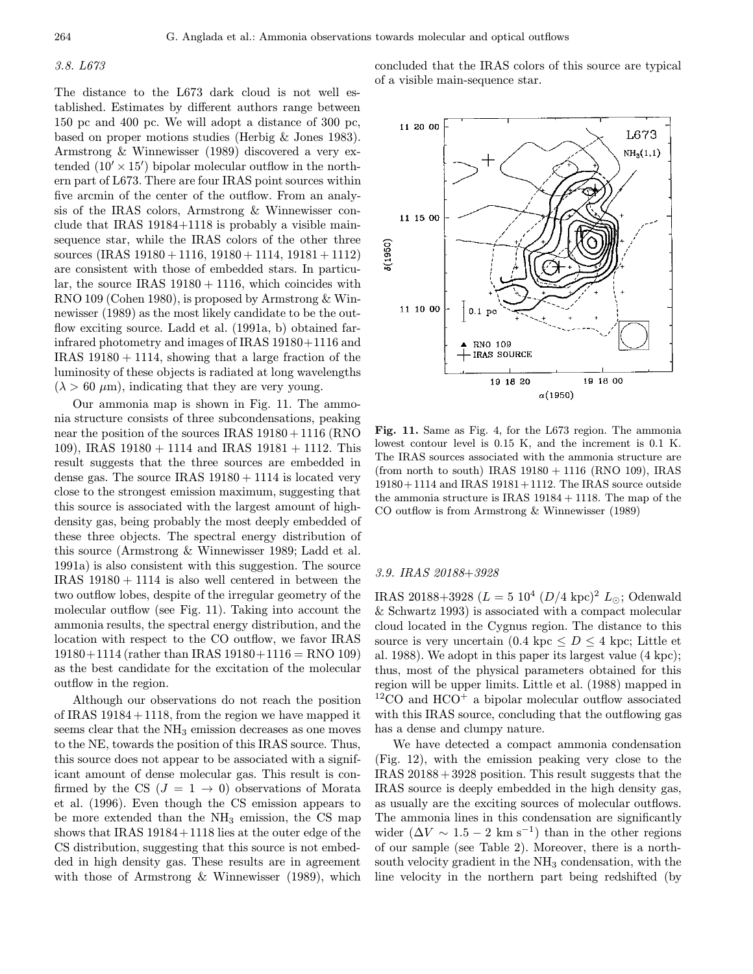## 3.8. L673

The distance to the L673 dark cloud is not well established. Estimates by different authors range between 150 pc and 400 pc. We will adopt a distance of 300 pc, based on proper motions studies (Herbig & Jones 1983). Armstrong & Winnewisser (1989) discovered a very extended  $(10' \times 15')$  bipolar molecular outflow in the northern part of L673. There are four IRAS point sources within five arcmin of the center of the outflow. From an analysis of the IRAS colors, Armstrong & Winnewisser conclude that IRAS 19184+1118 is probably a visible mainsequence star, while the IRAS colors of the other three sources (IRAS  $19180 + 1116$ ,  $19180 + 1114$ ,  $19181 + 1112$ ) are consistent with those of embedded stars. In particular, the source IRAS  $19180 + 1116$ , which coincides with RNO 109 (Cohen 1980), is proposed by Armstrong & Winnewisser (1989) as the most likely candidate to be the outflow exciting source. Ladd et al. (1991a, b) obtained farinfrared photometry and images of IRAS 19180+1116 and IRAS  $19180 + 1114$ , showing that a large fraction of the luminosity of these objects is radiated at long wavelengths  $(\lambda > 60 \ \mu \text{m})$ , indicating that they are very young.

Our ammonia map is shown in Fig. 11. The ammonia structure consists of three subcondensations, peaking near the position of the sources IRAS  $19180 + 1116$  (RNO 109), IRAS  $19180 + 1114$  and IRAS  $19181 + 1112$ . This result suggests that the three sources are embedded in dense gas. The source IRAS  $19180 + 1114$  is located very close to the strongest emission maximum, suggesting that this source is associated with the largest amount of highdensity gas, being probably the most deeply embedded of these three objects. The spectral energy distribution of this source (Armstrong & Winnewisser 1989; Ladd et al. 1991a) is also consistent with this suggestion. The source IRAS  $19180 + 1114$  is also well centered in between the two outflow lobes, despite of the irregular geometry of the molecular outflow (see Fig. 11). Taking into account the ammonia results, the spectral energy distribution, and the location with respect to the CO outflow, we favor IRAS  $19180+1114$  (rather than IRAS  $19180+1116 = RNO 109$ ) as the best candidate for the excitation of the molecular outflow in the region.

Although our observations do not reach the position of IRAS  $19184 + 1118$ , from the region we have mapped it seems clear that the NH<sub>3</sub> emission decreases as one moves to the NE, towards the position of this IRAS source. Thus, this source does not appear to be associated with a significant amount of dense molecular gas. This result is confirmed by the CS  $(J = 1 \rightarrow 0)$  observations of Morata et al. (1996). Even though the CS emission appears to be more extended than the  $NH<sub>3</sub>$  emission, the CS map shows that IRAS 19184+1118 lies at the outer edge of the CS distribution, suggesting that this source is not embedded in high density gas. These results are in agreement with those of Armstrong & Winnewisser (1989), which

concluded that the IRAS colors of this source are typical of a visible main-sequence star.



Fig. 11. Same as Fig. 4, for the L673 region. The ammonia lowest contour level is 0.15 K, and the increment is 0.1 K. The IRAS sources associated with the ammonia structure are (from north to south) IRAS 19180 + 1116 (RNO 109), IRAS 19180+ 1114 and IRAS 19181+ 1112. The IRAS source outside the ammonia structure is IRAS 19184 + 1118. The map of the CO outflow is from Armstrong & Winnewisser (1989)

## 3.9. IRAS 20188+3928

IRAS 20188+3928 ( $L = 5 \times 10^4$  ( $D/4 \text{ kpc}$ )<sup>2</sup>  $L_{\odot}$ ; Odenwald & Schwartz 1993) is associated with a compact molecular cloud located in the Cygnus region. The distance to this source is very uncertain  $(0.4 \text{ kpc} \leq D \leq 4 \text{ kpc})$ . Little et al. 1988). We adopt in this paper its largest value (4 kpc); thus, most of the physical parameters obtained for this region will be upper limits. Little et al. (1988) mapped in  $12^{\circ}$ CO and HCO<sup>+</sup> a bipolar molecular outflow associated with this IRAS source, concluding that the outflowing gas has a dense and clumpy nature.

We have detected a compact ammonia condensation (Fig. 12), with the emission peaking very close to the IRAS  $20188 + 3928$  position. This result suggests that the IRAS source is deeply embedded in the high density gas, as usually are the exciting sources of molecular outflows. The ammonia lines in this condensation are significantly wider  $(\Delta V \sim 1.5 - 2 \text{ km s}^{-1})$  than in the other regions of our sample (see Table 2). Moreover, there is a northsouth velocity gradient in the  $NH<sub>3</sub>$  condensation, with the line velocity in the northern part being redshifted (by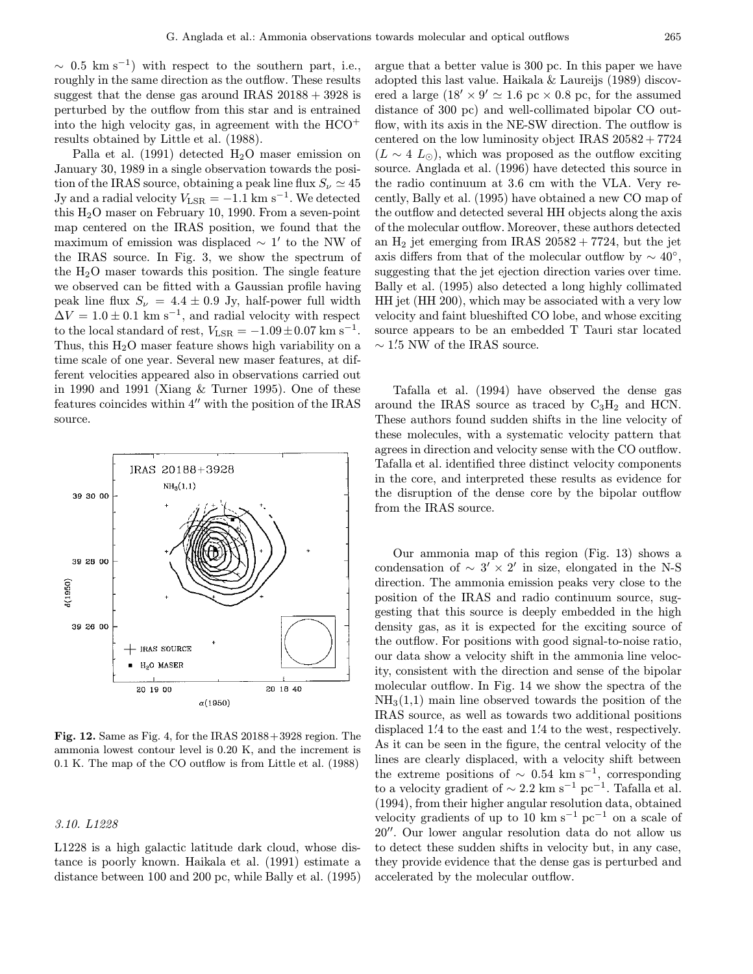$\sim$  0.5 km s<sup>-1</sup>) with respect to the southern part, i.e., roughly in the same direction as the outflow. These results suggest that the dense gas around IRAS  $20188 + 3928$  is perturbed by the outflow from this star and is entrained into the high velocity gas, in agreement with the HCO<sup>+</sup> results obtained by Little et al. (1988).

Palla et al.  $(1991)$  detected  $H<sub>2</sub>O$  maser emission on January 30, 1989 in a single observation towards the position of the IRAS source, obtaining a peak line flux  $S_{\nu} \simeq 45$ Jy and a radial velocity  $V_{\text{LSR}} = -1.1 \text{ km s}^{-1}$ . We detected this  $H<sub>2</sub>O$  maser on February 10, 1990. From a seven-point map centered on the IRAS position, we found that the maximum of emission was displaced  $\sim 1'$  to the NW of the IRAS source. In Fig. 3, we show the spectrum of the  $H_2O$  maser towards this position. The single feature we observed can be fitted with a Gaussian profile having peak line flux  $S_{\nu} = 4.4 \pm 0.9$  Jy, half-power full width  $\Delta V = 1.0 \pm 0.1$  km s<sup>-1</sup>, and radial velocity with respect to the local standard of rest,  $V_{\text{LSR}} = -1.09 \pm 0.07 \text{ km s}^{-1}$ . Thus, this  $H_2O$  maser feature shows high variability on a time scale of one year. Several new maser features, at different velocities appeared also in observations carried out in 1990 and 1991 (Xiang & Turner 1995). One of these features coincides within  $4^{\prime\prime}$  with the position of the IRAS source.



Fig. 12. Same as Fig. 4, for the IRAS 20188+3928 region. The ammonia lowest contour level is 0.20 K, and the increment is 0.1 K. The map of the CO outflow is from Little et al. (1988)

## 3.10. L1228

L1228 is a high galactic latitude dark cloud, whose distance is poorly known. Haikala et al. (1991) estimate a distance between 100 and 200 pc, while Bally et al. (1995)

argue that a better value is 300 pc. In this paper we have adopted this last value. Haikala & Laureijs (1989) discovered a large  $(18' \times 9' \approx 1.6 \text{ pc} \times 0.8 \text{ pc}$ , for the assumed distance of 300 pc) and well-collimated bipolar CO outflow, with its axis in the NE-SW direction. The outflow is centered on the low luminosity object IRAS  $20582 + 7724$  $(L \sim 4 L_{\odot})$ , which was proposed as the outflow exciting source. Anglada et al. (1996) have detected this source in the radio continuum at 3.6 cm with the VLA. Very recently, Bally et al. (1995) have obtained a new CO map of the outflow and detected several HH objects along the axis of the molecular outflow. Moreover, these authors detected an  $H_2$  jet emerging from IRAS  $20582 + 7724$ , but the jet axis differs from that of the molecular outflow by  $\sim 40^{\circ}$ , suggesting that the jet ejection direction varies over time. Bally et al. (1995) also detected a long highly collimated HH jet (HH 200), which may be associated with a very low velocity and faint blueshifted CO lobe, and whose exciting source appears to be an embedded T Tauri star located  $\sim 1\rlap{.}'5$  NW of the IRAS source.

Tafalla et al. (1994) have observed the dense gas around the IRAS source as traced by  $C_3H_2$  and HCN. These authors found sudden shifts in the line velocity of these molecules, with a systematic velocity pattern that agrees in direction and velocity sense with the CO outflow. Tafalla et al. identified three distinct velocity components in the core, and interpreted these results as evidence for the disruption of the dense core by the bipolar outflow from the IRAS source.

Our ammonia map of this region (Fig. 13) shows a condensation of  $\sim$  3'  $\times$  2' in size, elongated in the N-S direction. The ammonia emission peaks very close to the position of the IRAS and radio continuum source, suggesting that this source is deeply embedded in the high density gas, as it is expected for the exciting source of the outflow. For positions with good signal-to-noise ratio, our data show a velocity shift in the ammonia line velocity, consistent with the direction and sense of the bipolar molecular outflow. In Fig. 14 we show the spectra of the  $NH<sub>3</sub>(1,1)$  main line observed towards the position of the IRAS source, as well as towards two additional positions displaced 1.4 to the east and 1.4 to the west, respectively. As it can be seen in the figure, the central velocity of the lines are clearly displaced, with a velocity shift between the extreme positions of  $\sim 0.54 \text{ km s}^{-1}$ , corresponding to a velocity gradient of  $\sim 2.2 \text{ km s}^{-1} \text{ pc}^{-1}$ . Tafalla et al. (1994), from their higher angular resolution data, obtained velocity gradients of up to 10 km s<sup>-1</sup> pc<sup>-1</sup> on a scale of 20". Our lower angular resolution data do not allow us to detect these sudden shifts in velocity but, in any case, they provide evidence that the dense gas is perturbed and accelerated by the molecular outflow.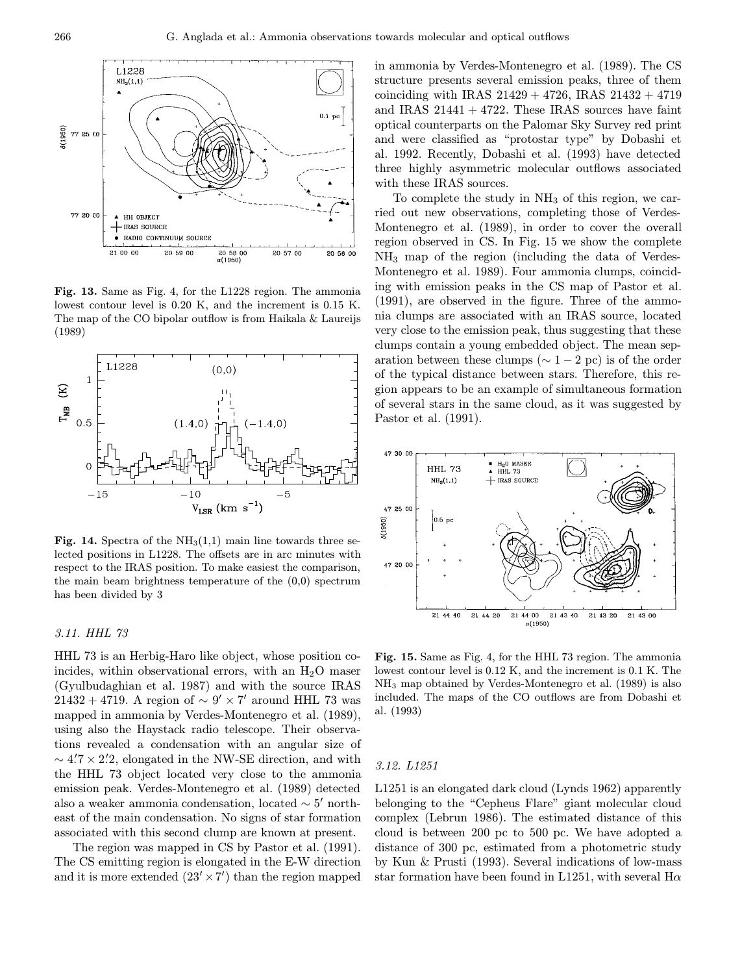

Fig. 13. Same as Fig. 4, for the L1228 region. The ammonia lowest contour level is 0.20 K, and the increment is 0.15 K. The map of the CO bipolar outflow is from Haikala & Laureijs (1989)



Fig. 14. Spectra of the  $NH<sub>3</sub>(1,1)$  main line towards three selected positions in L1228. The offsets are in arc minutes with respect to the IRAS position. To make easiest the comparison, the main beam brightness temperature of the (0,0) spectrum has been divided by 3

## 3.11. HHL 73

HHL 73 is an Herbig-Haro like object, whose position coincides, within observational errors, with an  $H_2O$  maser (Gyulbudaghian et al. 1987) and with the source IRAS  $21432 + 4719$ . A region of ~  $9' \times 7'$  around HHL 73 was mapped in ammonia by Verdes-Montenegro et al. (1989), using also the Haystack radio telescope. Their observations revealed a condensation with an angular size of  $\sim$  4.7  $\times$  2.2, elongated in the NW-SE direction, and with the HHL 73 object located very close to the ammonia emission peak. Verdes-Montenegro et al. (1989) detected also a weaker ammonia condensation, located  $\sim 5'$  northeast of the main condensation. No signs of star formation associated with this second clump are known at present.

The region was mapped in CS by Pastor et al. (1991). The CS emitting region is elongated in the E-W direction and it is more extended  $(23' \times 7')$  than the region mapped

in ammonia by Verdes-Montenegro et al. (1989). The CS structure presents several emission peaks, three of them coinciding with IRAS  $21429 + 4726$ , IRAS  $21432 + 4719$ and IRAS  $21441 + 4722$ . These IRAS sources have faint optical counterparts on the Palomar Sky Survey red print and were classified as "protostar type" by Dobashi et al. 1992. Recently, Dobashi et al. (1993) have detected three highly asymmetric molecular outflows associated with these IRAS sources.

To complete the study in  $NH<sub>3</sub>$  of this region, we carried out new observations, completing those of Verdes-Montenegro et al. (1989), in order to cover the overall region observed in CS. In Fig. 15 we show the complete NH<sup>3</sup> map of the region (including the data of Verdes-Montenegro et al. 1989). Four ammonia clumps, coinciding with emission peaks in the CS map of Pastor et al. (1991), are observed in the figure. Three of the ammonia clumps are associated with an IRAS source, located very close to the emission peak, thus suggesting that these clumps contain a young embedded object. The mean separation between these clumps ( $\sim 1-2$  pc) is of the order of the typical distance between stars. Therefore, this region appears to be an example of simultaneous formation of several stars in the same cloud, as it was suggested by Pastor et al. (1991).



Fig. 15. Same as Fig. 4, for the HHL 73 region. The ammonia lowest contour level is 0.12 K, and the increment is 0.1 K. The NH<sup>3</sup> map obtained by Verdes-Montenegro et al. (1989) is also included. The maps of the CO outflows are from Dobashi et al. (1993)

### 3.12. L1251

L1251 is an elongated dark cloud (Lynds 1962) apparently belonging to the "Cepheus Flare" giant molecular cloud complex (Lebrun 1986). The estimated distance of this cloud is between 200 pc to 500 pc. We have adopted a distance of 300 pc, estimated from a photometric study by Kun & Prusti (1993). Several indications of low-mass star formation have been found in L1251, with several  $H\alpha$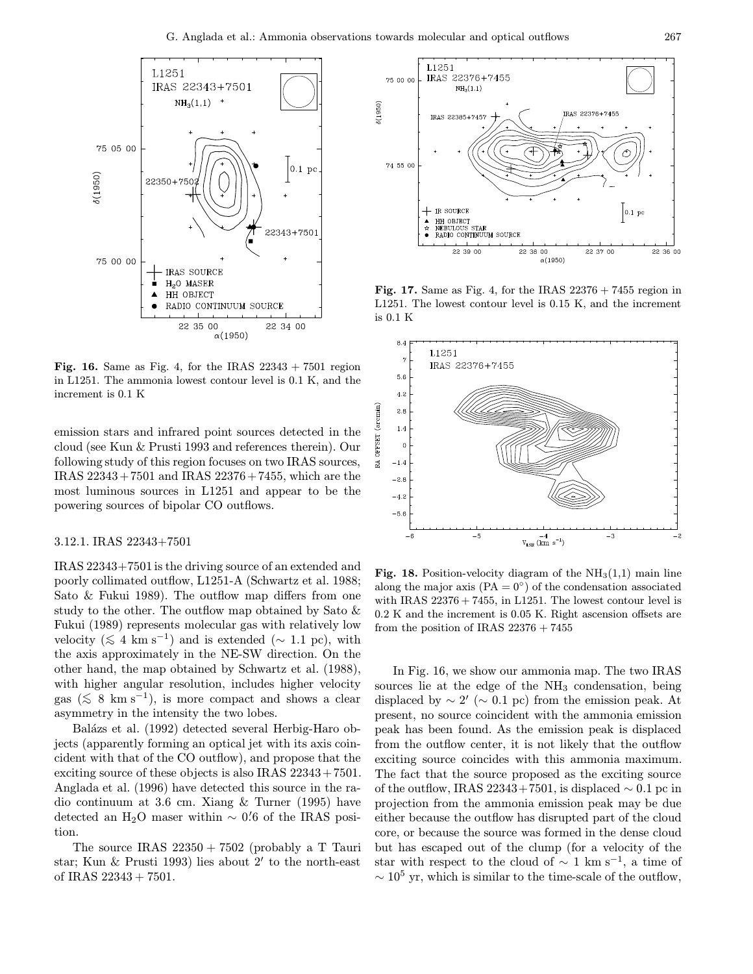

Fig. 16. Same as Fig. 4, for the IRAS  $22343 + 7501$  region in L1251. The ammonia lowest contour level is 0.1 K, and the increment is 0.1 K

emission stars and infrared point sources detected in the cloud (see Kun & Prusti 1993 and references therein). Our following study of this region focuses on two IRAS sources, IRAS 22343+7501 and IRAS 22376+7455, which are the most luminous sources in L1251 and appear to be the powering sources of bipolar CO outflows.

## 3.12.1. IRAS 22343+7501

IRAS 22343+7501 is the driving source of an extended and poorly collimated outflow, L1251-A (Schwartz et al. 1988; Sato & Fukui 1989). The outflow map differs from one study to the other. The outflow map obtained by Sato & Fukui (1989) represents molecular gas with relatively low velocity ( $\lesssim 4 \text{ km s}^{-1}$ ) and is extended ( $\sim 1.1 \text{ pc}$ ), with the axis approximately in the NE-SW direction. On the other hand, the map obtained by Schwartz et al. (1988), with higher angular resolution, includes higher velocity gas ( $\leq 8$  km s<sup>-1</sup>), is more compact and shows a clear asymmetry in the intensity the two lobes.

Balázs et al. (1992) detected several Herbig-Haro objects (apparently forming an optical jet with its axis coincident with that of the CO outflow), and propose that the exciting source of these objects is also IRAS  $22343 + 7501$ . Anglada et al. (1996) have detected this source in the radio continuum at 3.6 cm. Xiang & Turner (1995) have detected an H<sub>2</sub>O maser within  $\sim$  0.<sup>7</sup>6 of the IRAS position.

The source IRAS  $22350 + 7502$  (probably a T Tauri star; Kun  $\&$  Prusti 1993) lies about 2' to the north-east of IRAS 22343 + 7501.



Fig. 17. Same as Fig. 4, for the IRAS  $22376 + 7455$  region in L1251. The lowest contour level is 0.15 K, and the increment is 0.1 K



Fig. 18. Position-velocity diagram of the  $NH<sub>3</sub>(1,1)$  main line along the major axis  $(PA = 0^{\circ})$  of the condensation associated with IRAS  $22376 + 7455$ , in L1251. The lowest contour level is 0.2 K and the increment is 0.05 K. Right ascension offsets are from the position of IRAS  $22376 + 7455$ 

In Fig. 16, we show our ammonia map. The two IRAS sources lie at the edge of the  $NH<sub>3</sub>$  condensation, being displaced by  $\sim 2'$  ( $\sim 0.1$  pc) from the emission peak. At present, no source coincident with the ammonia emission peak has been found. As the emission peak is displaced from the outflow center, it is not likely that the outflow exciting source coincides with this ammonia maximum. The fact that the source proposed as the exciting source of the outflow, IRAS 22343+7501, is displaced  $\sim 0.1$  pc in projection from the ammonia emission peak may be due either because the outflow has disrupted part of the cloud core, or because the source was formed in the dense cloud but has escaped out of the clump (for a velocity of the star with respect to the cloud of  $\sim 1 \text{ km s}^{-1}$ , a time of  $\sim 10^5$  yr, which is similar to the time-scale of the outflow,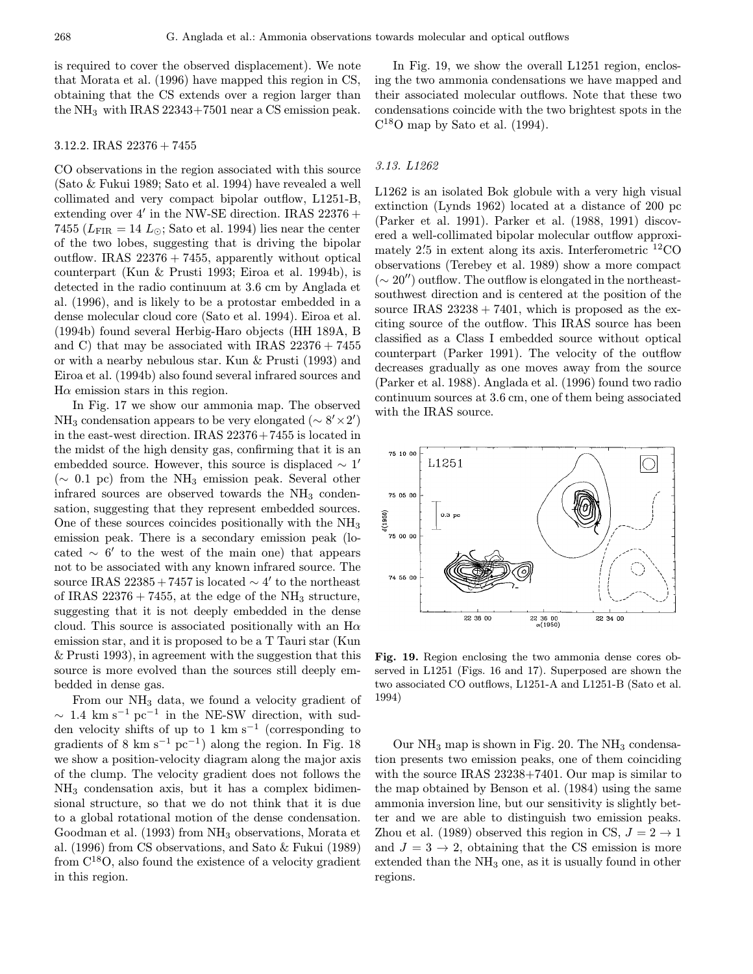is required to cover the observed displacement). We note that Morata et al. (1996) have mapped this region in CS, obtaining that the CS extends over a region larger than the  $NH_3$  with IRAS 22343+7501 near a CS emission peak.

#### 3.12.2. IRAS 22376 + 7455

CO observations in the region associated with this source (Sato & Fukui 1989; Sato et al. 1994) have revealed a well collimated and very compact bipolar outflow, L1251-B, extending over 4' in the NW-SE direction. IRAS  $22376 +$ 7455 ( $L_{\text{FIR}} = 14 L_{\odot}$ ; Sato et al. 1994) lies near the center of the two lobes, suggesting that is driving the bipolar outflow. IRAS  $22376 + 7455$ , apparently without optical counterpart (Kun & Prusti 1993; Eiroa et al. 1994b), is detected in the radio continuum at 3.6 cm by Anglada et al. (1996), and is likely to be a protostar embedded in a dense molecular cloud core (Sato et al. 1994). Eiroa et al. (1994b) found several Herbig-Haro objects (HH 189A, B and C) that may be associated with IRAS  $22376 + 7455$ or with a nearby nebulous star. Kun & Prusti (1993) and Eiroa et al. (1994b) also found several infrared sources and  $H\alpha$  emission stars in this region.

In Fig. 17 we show our ammonia map. The observed NH<sub>3</sub> condensation appears to be very elongated  $({\sim 8' \times 2'})$ in the east-west direction. IRAS 22376+7455 is located in the midst of the high density gas, confirming that it is an embedded source. However, this source is displaced  $\sim 1'$  $({\sim} 0.1 \text{ pc})$  from the NH<sub>3</sub> emission peak. Several other infrared sources are observed towards the  $NH<sub>3</sub>$  condensation, suggesting that they represent embedded sources. One of these sources coincides positionally with the  $NH<sub>3</sub>$ emission peak. There is a secondary emission peak (located  $\sim 6'$  to the west of the main one) that appears not to be associated with any known infrared source. The source IRAS 22385+7457 is located  $\sim$  4' to the northeast of IRAS  $22376 + 7455$ , at the edge of the NH<sub>3</sub> structure, suggesting that it is not deeply embedded in the dense cloud. This source is associated positionally with an  $H\alpha$ emission star, and it is proposed to be a T Tauri star (Kun & Prusti 1993), in agreement with the suggestion that this source is more evolved than the sources still deeply embedded in dense gas.

From our NH<sub>3</sub> data, we found a velocity gradient of  $\sim 1.4$  km s<sup>-1</sup> pc<sup>-1</sup> in the NE-SW direction, with sudden velocity shifts of up to 1 km s<sup> $-1$ </sup> (corresponding to gradients of 8 km s<sup>-1</sup> pc<sup>-1</sup>) along the region. In Fig. 18 we show a position-velocity diagram along the major axis of the clump. The velocity gradient does not follows the  $NH<sub>3</sub>$  condensation axis, but it has a complex bidimensional structure, so that we do not think that it is due to a global rotational motion of the dense condensation. Goodman et al. (1993) from NH<sup>3</sup> observations, Morata et al. (1996) from CS observations, and Sato & Fukui (1989) from  $C^{18}O$ , also found the existence of a velocity gradient in this region.

In Fig. 19, we show the overall L1251 region, enclosing the two ammonia condensations we have mapped and their associated molecular outflows. Note that these two condensations coincide with the two brightest spots in the  $C^{18}$ O map by Sato et al. (1994).

#### 3.13. L1262

L1262 is an isolated Bok globule with a very high visual extinction (Lynds 1962) located at a distance of 200 pc (Parker et al. 1991). Parker et al. (1988, 1991) discovered a well-collimated bipolar molecular outflow approximately 2.5 in extent along its axis. Interferometric <sup>12</sup>CO observations (Terebey et al. 1989) show a more compact  $({\sim 20''})$  outflow. The outflow is elongated in the northeastsouthwest direction and is centered at the position of the source IRAS  $23238 + 7401$ , which is proposed as the exciting source of the outflow. This IRAS source has been classified as a Class I embedded source without optical counterpart (Parker 1991). The velocity of the outflow decreases gradually as one moves away from the source (Parker et al. 1988). Anglada et al. (1996) found two radio continuum sources at 3.6 cm, one of them being associated with the IRAS source.



Fig. 19. Region enclosing the two ammonia dense cores observed in L1251 (Figs. 16 and 17). Superposed are shown the two associated CO outflows, L1251-A and L1251-B (Sato et al. 1994)

Our  $NH_3$  map is shown in Fig. 20. The  $NH_3$  condensation presents two emission peaks, one of them coinciding with the source IRAS 23238+7401. Our map is similar to the map obtained by Benson et al. (1984) using the same ammonia inversion line, but our sensitivity is slightly better and we are able to distinguish two emission peaks. Zhou et al. (1989) observed this region in CS,  $J = 2 \rightarrow 1$ and  $J = 3 \rightarrow 2$ , obtaining that the CS emission is more extended than the NH<sub>3</sub> one, as it is usually found in other regions.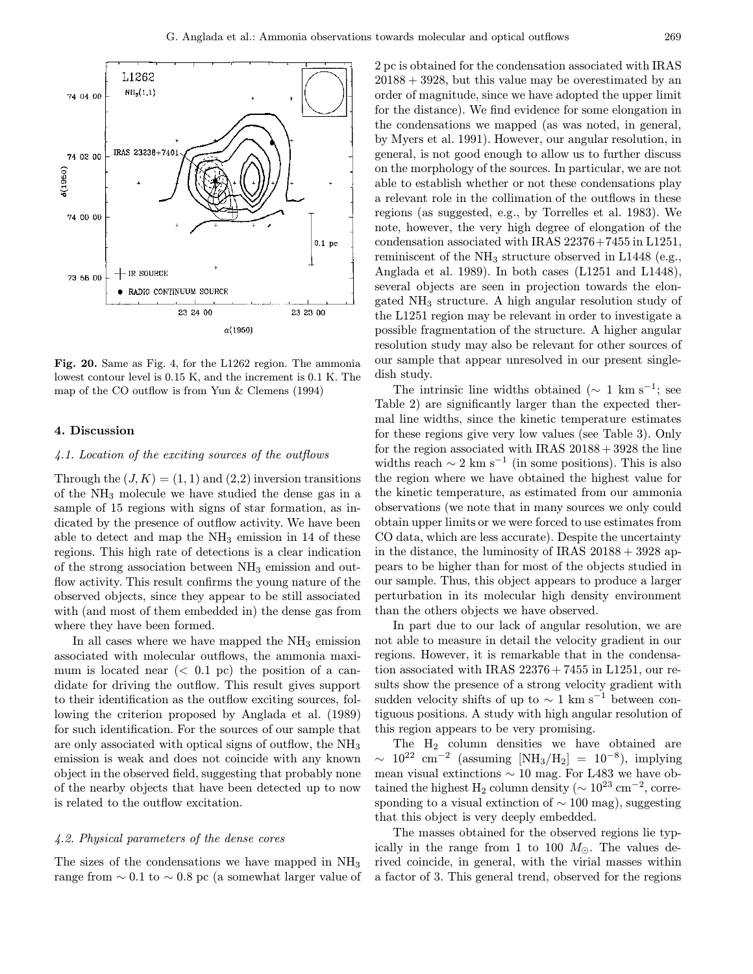

Fig. 20. Same as Fig. 4, for the L1262 region. The ammonia lowest contour level is 0.15 K, and the increment is 0.1 K. The map of the CO outflow is from Yun & Clemens (1994)

## 4. Discussion

## 4.1. Location of the exciting sources of the outflows

Through the  $(J, K) = (1, 1)$  and  $(2,2)$  inversion transitions of the NH<sup>3</sup> molecule we have studied the dense gas in a sample of 15 regions with signs of star formation, as indicated by the presence of outflow activity. We have been able to detect and map the  $NH<sub>3</sub>$  emission in 14 of these regions. This high rate of detections is a clear indication of the strong association between  $NH<sub>3</sub>$  emission and outflow activity. This result confirms the young nature of the observed objects, since they appear to be still associated with (and most of them embedded in) the dense gas from where they have been formed.

In all cases where we have mapped the  $NH<sub>3</sub>$  emission associated with molecular outflows, the ammonia maximum is located near  $( $0.1$  pc) the position of a can$ didate for driving the outflow. This result gives support to their identification as the outflow exciting sources, following the criterion proposed by Anglada et al. (1989) for such identification. For the sources of our sample that are only associated with optical signs of outflow, the NH<sup>3</sup> emission is weak and does not coincide with any known object in the observed field, suggesting that probably none of the nearby objects that have been detected up to now is related to the outflow excitation.

# 4.2. Physical parameters of the dense cores

The sizes of the condensations we have mapped in  $NH<sub>3</sub>$ range from  $\sim 0.1$  to  $\sim 0.8$  pc (a somewhat larger value of 2 pc is obtained for the condensation associated with IRAS  $20188 + 3928$ , but this value may be overestimated by an order of magnitude, since we have adopted the upper limit for the distance). We find evidence for some elongation in the condensations we mapped (as was noted, in general, by Myers et al. 1991). However, our angular resolution, in general, is not good enough to allow us to further discuss on the morphology of the sources. In particular, we are not able to establish whether or not these condensations play a relevant role in the collimation of the outflows in these regions (as suggested, e.g., by Torrelles et al. 1983). We note, however, the very high degree of elongation of the condensation associated with IRAS 22376+7455 in L1251, reminiscent of the NH<sup>3</sup> structure observed in L1448 (e.g., Anglada et al. 1989). In both cases (L1251 and L1448), several objects are seen in projection towards the elongated NH<sup>3</sup> structure. A high angular resolution study of the L1251 region may be relevant in order to investigate a possible fragmentation of the structure. A higher angular resolution study may also be relevant for other sources of our sample that appear unresolved in our present singledish study.

The intrinsic line widths obtained ( $\sim 1 \text{ km s}^{-1}$ ; see Table 2) are significantly larger than the expected thermal line widths, since the kinetic temperature estimates for these regions give very low values (see Table 3). Only for the region associated with IRAS  $20188+3928$  the line widths reach  $\sim 2 \text{ km s}^{-1}$  (in some positions). This is also the region where we have obtained the highest value for the kinetic temperature, as estimated from our ammonia observations (we note that in many sources we only could obtain upper limits or we were forced to use estimates from CO data, which are less accurate). Despite the uncertainty in the distance, the luminosity of IRAS  $20188 + 3928$  appears to be higher than for most of the objects studied in our sample. Thus, this object appears to produce a larger perturbation in its molecular high density environment than the others objects we have observed.

In part due to our lack of angular resolution, we are not able to measure in detail the velocity gradient in our regions. However, it is remarkable that in the condensation associated with IRAS  $22376 + 7455$  in L1251, our results show the presence of a strong velocity gradient with sudden velocity shifts of up to  $\sim 1 \text{ km s}^{-1}$  between contiguous positions. A study with high angular resolution of this region appears to be very promising.

The H<sup>2</sup> column densities we have obtained are  $\sim 10^{22}$  cm<sup>-2</sup> (assuming [NH<sub>3</sub>/H<sub>2</sub>] = 10<sup>-8</sup>), implying mean visual extinctions  $\sim 10$  mag. For L483 we have obtained the highest H<sub>2</sub> column density ( $\sim 10^{23}$  cm<sup>-2</sup>, corresponding to a visual extinction of  $\sim 100$  mag), suggesting that this object is very deeply embedded.

The masses obtained for the observed regions lie typically in the range from 1 to 100  $M_{\odot}$ . The values derived coincide, in general, with the virial masses within a factor of 3. This general trend, observed for the regions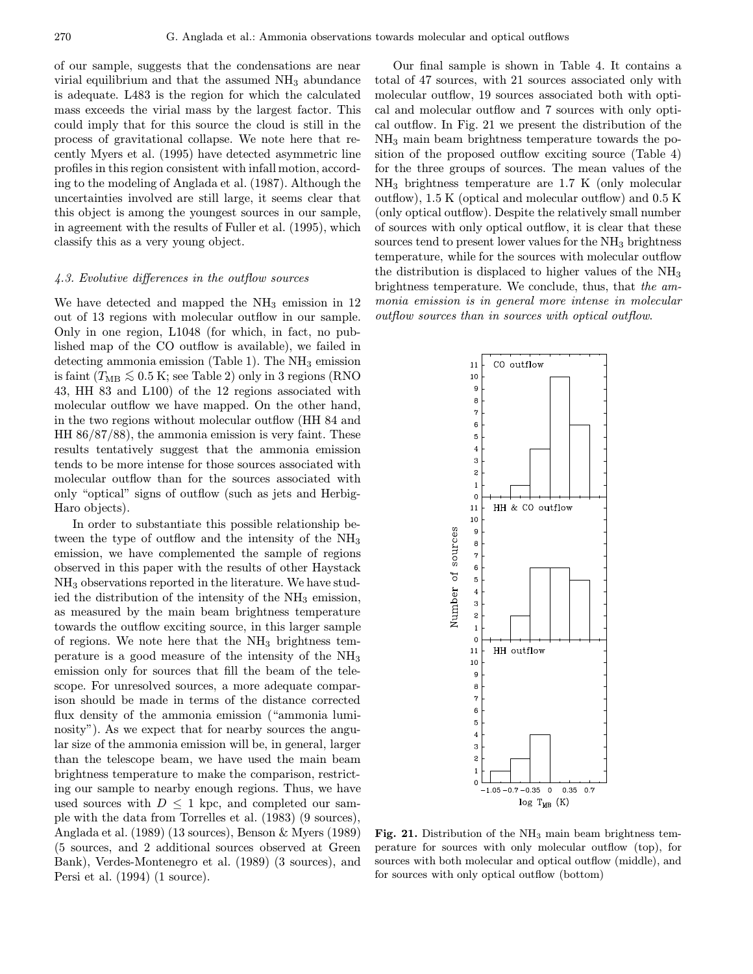of our sample, suggests that the condensations are near virial equilibrium and that the assumed  $NH<sub>3</sub>$  abundance is adequate. L483 is the region for which the calculated mass exceeds the virial mass by the largest factor. This could imply that for this source the cloud is still in the process of gravitational collapse. We note here that recently Myers et al. (1995) have detected asymmetric line profiles in this region consistent with infall motion, according to the modeling of Anglada et al. (1987). Although the uncertainties involved are still large, it seems clear that this object is among the youngest sources in our sample, in agreement with the results of Fuller et al. (1995), which classify this as a very young object.

## 4.3. Evolutive differences in the outflow sources

We have detected and mapped the  $NH<sub>3</sub>$  emission in 12 out of 13 regions with molecular outflow in our sample. Only in one region, L1048 (for which, in fact, no published map of the CO outflow is available), we failed in detecting ammonia emission (Table 1). The  $NH<sub>3</sub>$  emission is faint ( $T_{\text{MB}} \lesssim 0.5 \text{ K}$ ; see Table 2) only in 3 regions (RNO 43, HH 83 and L100) of the 12 regions associated with molecular outflow we have mapped. On the other hand, in the two regions without molecular outflow (HH 84 and HH 86/87/88), the ammonia emission is very faint. These results tentatively suggest that the ammonia emission tends to be more intense for those sources associated with molecular outflow than for the sources associated with only "optical" signs of outflow (such as jets and Herbig-Haro objects).

In order to substantiate this possible relationship between the type of outflow and the intensity of the  $NH<sub>3</sub>$ emission, we have complemented the sample of regions observed in this paper with the results of other Haystack NH<sup>3</sup> observations reported in the literature. We have studied the distribution of the intensity of the  $NH<sub>3</sub>$  emission, as measured by the main beam brightness temperature towards the outflow exciting source, in this larger sample of regions. We note here that the  $NH<sub>3</sub>$  brightness temperature is a good measure of the intensity of the NH<sup>3</sup> emission only for sources that fill the beam of the telescope. For unresolved sources, a more adequate comparison should be made in terms of the distance corrected flux density of the ammonia emission ("ammonia luminosity"). As we expect that for nearby sources the angular size of the ammonia emission will be, in general, larger than the telescope beam, we have used the main beam brightness temperature to make the comparison, restricting our sample to nearby enough regions. Thus, we have used sources with  $D \leq 1$  kpc, and completed our sample with the data from Torrelles et al. (1983) (9 sources), Anglada et al. (1989) (13 sources), Benson & Myers (1989) (5 sources, and 2 additional sources observed at Green Bank), Verdes-Montenegro et al. (1989) (3 sources), and Persi et al. (1994) (1 source).

Our final sample is shown in Table 4. It contains a total of 47 sources, with 21 sources associated only with molecular outflow, 19 sources associated both with optical and molecular outflow and 7 sources with only optical outflow. In Fig. 21 we present the distribution of the NH<sup>3</sup> main beam brightness temperature towards the position of the proposed outflow exciting source (Table 4) for the three groups of sources. The mean values of the NH<sup>3</sup> brightness temperature are 1.7 K (only molecular outflow), 1.5 K (optical and molecular outflow) and 0.5 K (only optical outflow). Despite the relatively small number of sources with only optical outflow, it is clear that these sources tend to present lower values for the NH<sub>3</sub> brightness temperature, while for the sources with molecular outflow the distribution is displaced to higher values of the NH<sup>3</sup> brightness temperature. We conclude, thus, that the ammonia emission is in general more intense in molecular outflow sources than in sources with optical outflow.



Fig. 21. Distribution of the  $NH<sub>3</sub>$  main beam brightness temperature for sources with only molecular outflow (top), for sources with both molecular and optical outflow (middle), and for sources with only optical outflow (bottom)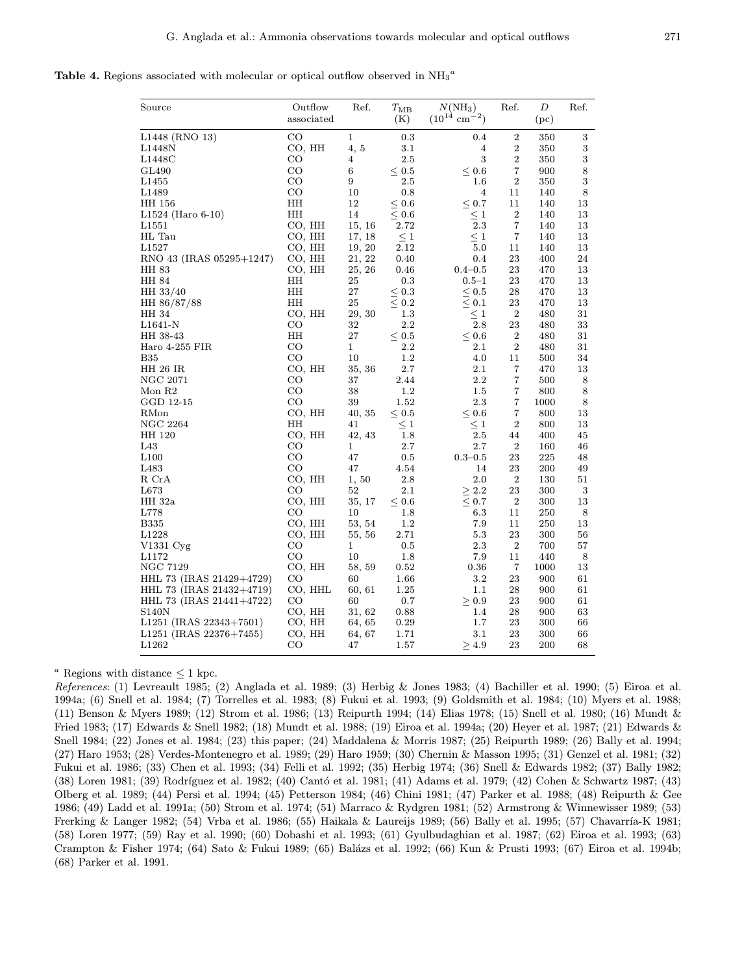Table 4. Regions associated with molecular or optical outflow observed in  $\mathrm{NH}_3{}^a$ 

| L1448 (RNO 13)<br>CO<br>1<br>0.3<br>2<br>350<br>3<br>0.4<br>4, 5<br>3.1<br>2<br>$\sqrt{3}$<br>L1448N<br>CO, HH<br>4<br>350<br>3<br>$\boldsymbol{3}$<br>$\overline{2}$<br>CO<br>2.5<br>L1448C<br>4<br>350<br>$\,8\,$<br>CO<br>6<br>7<br>GL490<br>$\leq 0.5$<br>$\leq 0.6$<br>900<br>$\boldsymbol{3}$<br>$_{\rm CO}$<br>9<br>$\sqrt{2}$<br>$2.5\,$<br>350<br>L1455<br>$1.6\,$<br>$_{\rm CO}$<br>10<br>8<br>L1489<br>0.8<br>4<br>140<br>11<br>13<br>HH 156<br>HН<br>12<br>< 0.7<br>$\leq 0.6$<br>11<br>140<br>HH<br>14<br>$\leq 0.6$<br>$\leq 1$<br>2<br>13<br>$L1524$ (Haro 6-10)<br>140<br>2.3<br>7<br>CO, HH<br>15, 16<br>2.72<br>140<br>13<br>L <sub>1551</sub><br>$\leq 1$<br>7<br>HL Tau<br>CO, HH<br>17, 18<br>$\leq 1$<br>13<br>140<br>$5.0\,$<br>13<br>L1527<br>CO, HH<br>19, 20<br>2.12<br>11<br>140<br>24<br>RNO 43 (IRAS 05295+1247)<br>CO, HH<br>21, 22<br>0.4<br>23<br>400<br>0.40<br>25, 26<br>$0.4 - 0.5$<br>13<br>HH 83<br>CO, HH<br>0.46<br>23<br>470<br>HH 84<br>HН<br>25<br>0.3<br>$0.5 - 1$<br>23<br>470<br>13<br>HH<br>27<br>13<br>HH 33/40<br>$\leq 0.3$<br>$\leq 0.5$<br>28<br>470<br>$\leq 0.1$<br>$\leq 0.2$<br>HН<br>25<br>23<br>13<br>HH 86/87/88<br>470<br>$\leqq\atop{2.8}1$<br>$\boldsymbol{2}$<br>31<br>CO, HH<br>29, 30<br>$1.3\,$<br>480<br>HH 34<br>2.2<br>CO<br>32<br>23<br>33<br>L1641-N<br>480<br>HН<br>27<br>$\leq 0.5$<br>$\leq 0.6$<br>2<br>HH 38-43<br>480<br>31<br>CO<br>$\mathbf{1}$<br>2.2<br>2.1<br>$\boldsymbol{2}$<br>31<br>Haro 4-255 FIR<br>480<br><b>B35</b><br>$_{\rm CO}$<br>10<br>1.2<br>34<br>4.0<br>500<br>11<br><b>HH 26 IR</b><br>35, 36<br>2.7<br>2.1<br>13<br>CO, HH<br>7<br>470<br>7<br>NGC 2071<br>CO<br>37<br>2.44<br>$2.2\,$<br>500<br>8<br>$_{\rm CO}$<br>38<br>8<br>Mon R <sub>2</sub><br>1.2<br>$1.5\,$<br>7<br>800<br>$_{\rm CO}$<br>2.3<br>7<br>$\,8\,$<br>GGD 12-15<br>39<br>1.52<br>1000<br>CO, HH<br>40, 35<br>$\leq 0.5$<br>7<br>13<br>RMon<br>< 0.6<br>800<br>HH<br>$\,2$<br>NGC 2264<br>41<br>$\leq 1$<br>$\leq 1$<br>13<br>800<br>2.5<br>CO, HH<br>42, 43<br>1.8<br>45<br>HH 120<br>44<br>400<br>L43<br>CO<br>$\mathbf{1}$<br>2.7<br>$2.7\,$<br>$\boldsymbol{2}$<br>160<br>46<br>L <sub>100</sub><br>CO<br>225<br>47<br>0.5<br>$0.3 - 0.5$<br>23<br>48<br>L483<br>CO<br>47<br>4.54<br>23<br>200<br>49<br>14<br>$2.0\,$<br>$\boldsymbol{2}$<br>R CrA<br>CO, HH<br>1,50<br>2.8<br>130<br>51<br>2.1<br>$\,3$<br>L673<br>CO<br>52<br>$\geq 2.2$<br>23<br>300<br>13<br>HH 32a<br>CO, HH<br>35, 17<br>$\leq 0.6$<br>$\leq 0.7$<br>$\boldsymbol{2}$<br>300<br>L778<br>CO<br>6.3<br>8<br>10<br>$1.8\,$<br>11<br>250<br>7.9<br><b>B335</b><br>CO, HH<br>53, 54<br>$1.2\,$<br>11<br>250<br>13<br>L1228<br>5.3<br>23<br>56<br>CO, HH<br>55, 56<br>2.71<br>300<br>CO<br>1<br>$2.3\,$<br>2<br>700<br>57<br>V1331 Cyg<br>0.5<br>$_{\rm CO}$<br>10<br>7.9<br>L1172<br>1.8<br>11<br>440<br>8<br><b>NGC 7129</b><br>$\overline{7}$<br>CO, HH<br>13<br>58, 59<br>0.52<br>0.36<br>1000<br>CO<br>$3.2\,$<br>23<br>61<br>HHL 73 (IRAS 21429+4729)<br>60<br>1.66<br>900<br>HHL 73 (IRAS 21432+4719)<br>CO, HHL<br>1.25<br>28<br>61<br>60, 61<br>1.1<br>900<br>CO<br>61<br>HHL 73 (IRAS 21441+4722)<br>60<br>0.7<br>> 0.9<br>23<br>900<br><b>S140N</b><br>CO, HH<br>31, 62<br>1.4<br>28<br>900<br>63<br>0.88<br>L <sub>1251</sub> (IRAS 22343+7501)<br>CO, HH<br>0.29<br>$1.7\,$<br>23<br>300<br>66<br>64, 65<br>L1251 (IRAS 22376+7455)<br>CO, HH<br>3.1<br>23<br>300<br>66<br>64, 67<br>1.71<br>L1262<br>$\geq 4.9$<br>23<br>200<br>68<br>CO<br>47<br>1.57 | Source | Outflow<br>associated | Ref. | $T_{\rm MB}$<br>(K) | $N(NH_3)$<br>$(10^{14} \text{ cm}^{-2})$ | Ref. | D<br>(pc) | Ref. |
|----------------------------------------------------------------------------------------------------------------------------------------------------------------------------------------------------------------------------------------------------------------------------------------------------------------------------------------------------------------------------------------------------------------------------------------------------------------------------------------------------------------------------------------------------------------------------------------------------------------------------------------------------------------------------------------------------------------------------------------------------------------------------------------------------------------------------------------------------------------------------------------------------------------------------------------------------------------------------------------------------------------------------------------------------------------------------------------------------------------------------------------------------------------------------------------------------------------------------------------------------------------------------------------------------------------------------------------------------------------------------------------------------------------------------------------------------------------------------------------------------------------------------------------------------------------------------------------------------------------------------------------------------------------------------------------------------------------------------------------------------------------------------------------------------------------------------------------------------------------------------------------------------------------------------------------------------------------------------------------------------------------------------------------------------------------------------------------------------------------------------------------------------------------------------------------------------------------------------------------------------------------------------------------------------------------------------------------------------------------------------------------------------------------------------------------------------------------------------------------------------------------------------------------------------------------------------------------------------------------------------------------------------------------------------------------------------------------------------------------------------------------------------------------------------------------------------------------------------------------------------------------------------------------------------------------------------------------------------------------------------------------------------------------------------------------------------------------------------------------------------------------------------------------------------------------------------------------------------------------------------------------------------------------------------------------------------------------------------------------------------------------------------------------------------------------------------------------------------------------------------------------|--------|-----------------------|------|---------------------|------------------------------------------|------|-----------|------|
|                                                                                                                                                                                                                                                                                                                                                                                                                                                                                                                                                                                                                                                                                                                                                                                                                                                                                                                                                                                                                                                                                                                                                                                                                                                                                                                                                                                                                                                                                                                                                                                                                                                                                                                                                                                                                                                                                                                                                                                                                                                                                                                                                                                                                                                                                                                                                                                                                                                                                                                                                                                                                                                                                                                                                                                                                                                                                                                                                                                                                                                                                                                                                                                                                                                                                                                                                                                                                                                                                                                |        |                       |      |                     |                                          |      |           |      |
|                                                                                                                                                                                                                                                                                                                                                                                                                                                                                                                                                                                                                                                                                                                                                                                                                                                                                                                                                                                                                                                                                                                                                                                                                                                                                                                                                                                                                                                                                                                                                                                                                                                                                                                                                                                                                                                                                                                                                                                                                                                                                                                                                                                                                                                                                                                                                                                                                                                                                                                                                                                                                                                                                                                                                                                                                                                                                                                                                                                                                                                                                                                                                                                                                                                                                                                                                                                                                                                                                                                |        |                       |      |                     |                                          |      |           |      |
|                                                                                                                                                                                                                                                                                                                                                                                                                                                                                                                                                                                                                                                                                                                                                                                                                                                                                                                                                                                                                                                                                                                                                                                                                                                                                                                                                                                                                                                                                                                                                                                                                                                                                                                                                                                                                                                                                                                                                                                                                                                                                                                                                                                                                                                                                                                                                                                                                                                                                                                                                                                                                                                                                                                                                                                                                                                                                                                                                                                                                                                                                                                                                                                                                                                                                                                                                                                                                                                                                                                |        |                       |      |                     |                                          |      |           |      |
|                                                                                                                                                                                                                                                                                                                                                                                                                                                                                                                                                                                                                                                                                                                                                                                                                                                                                                                                                                                                                                                                                                                                                                                                                                                                                                                                                                                                                                                                                                                                                                                                                                                                                                                                                                                                                                                                                                                                                                                                                                                                                                                                                                                                                                                                                                                                                                                                                                                                                                                                                                                                                                                                                                                                                                                                                                                                                                                                                                                                                                                                                                                                                                                                                                                                                                                                                                                                                                                                                                                |        |                       |      |                     |                                          |      |           |      |
|                                                                                                                                                                                                                                                                                                                                                                                                                                                                                                                                                                                                                                                                                                                                                                                                                                                                                                                                                                                                                                                                                                                                                                                                                                                                                                                                                                                                                                                                                                                                                                                                                                                                                                                                                                                                                                                                                                                                                                                                                                                                                                                                                                                                                                                                                                                                                                                                                                                                                                                                                                                                                                                                                                                                                                                                                                                                                                                                                                                                                                                                                                                                                                                                                                                                                                                                                                                                                                                                                                                |        |                       |      |                     |                                          |      |           |      |
|                                                                                                                                                                                                                                                                                                                                                                                                                                                                                                                                                                                                                                                                                                                                                                                                                                                                                                                                                                                                                                                                                                                                                                                                                                                                                                                                                                                                                                                                                                                                                                                                                                                                                                                                                                                                                                                                                                                                                                                                                                                                                                                                                                                                                                                                                                                                                                                                                                                                                                                                                                                                                                                                                                                                                                                                                                                                                                                                                                                                                                                                                                                                                                                                                                                                                                                                                                                                                                                                                                                |        |                       |      |                     |                                          |      |           |      |
|                                                                                                                                                                                                                                                                                                                                                                                                                                                                                                                                                                                                                                                                                                                                                                                                                                                                                                                                                                                                                                                                                                                                                                                                                                                                                                                                                                                                                                                                                                                                                                                                                                                                                                                                                                                                                                                                                                                                                                                                                                                                                                                                                                                                                                                                                                                                                                                                                                                                                                                                                                                                                                                                                                                                                                                                                                                                                                                                                                                                                                                                                                                                                                                                                                                                                                                                                                                                                                                                                                                |        |                       |      |                     |                                          |      |           |      |
|                                                                                                                                                                                                                                                                                                                                                                                                                                                                                                                                                                                                                                                                                                                                                                                                                                                                                                                                                                                                                                                                                                                                                                                                                                                                                                                                                                                                                                                                                                                                                                                                                                                                                                                                                                                                                                                                                                                                                                                                                                                                                                                                                                                                                                                                                                                                                                                                                                                                                                                                                                                                                                                                                                                                                                                                                                                                                                                                                                                                                                                                                                                                                                                                                                                                                                                                                                                                                                                                                                                |        |                       |      |                     |                                          |      |           |      |
|                                                                                                                                                                                                                                                                                                                                                                                                                                                                                                                                                                                                                                                                                                                                                                                                                                                                                                                                                                                                                                                                                                                                                                                                                                                                                                                                                                                                                                                                                                                                                                                                                                                                                                                                                                                                                                                                                                                                                                                                                                                                                                                                                                                                                                                                                                                                                                                                                                                                                                                                                                                                                                                                                                                                                                                                                                                                                                                                                                                                                                                                                                                                                                                                                                                                                                                                                                                                                                                                                                                |        |                       |      |                     |                                          |      |           |      |
|                                                                                                                                                                                                                                                                                                                                                                                                                                                                                                                                                                                                                                                                                                                                                                                                                                                                                                                                                                                                                                                                                                                                                                                                                                                                                                                                                                                                                                                                                                                                                                                                                                                                                                                                                                                                                                                                                                                                                                                                                                                                                                                                                                                                                                                                                                                                                                                                                                                                                                                                                                                                                                                                                                                                                                                                                                                                                                                                                                                                                                                                                                                                                                                                                                                                                                                                                                                                                                                                                                                |        |                       |      |                     |                                          |      |           |      |
|                                                                                                                                                                                                                                                                                                                                                                                                                                                                                                                                                                                                                                                                                                                                                                                                                                                                                                                                                                                                                                                                                                                                                                                                                                                                                                                                                                                                                                                                                                                                                                                                                                                                                                                                                                                                                                                                                                                                                                                                                                                                                                                                                                                                                                                                                                                                                                                                                                                                                                                                                                                                                                                                                                                                                                                                                                                                                                                                                                                                                                                                                                                                                                                                                                                                                                                                                                                                                                                                                                                |        |                       |      |                     |                                          |      |           |      |
|                                                                                                                                                                                                                                                                                                                                                                                                                                                                                                                                                                                                                                                                                                                                                                                                                                                                                                                                                                                                                                                                                                                                                                                                                                                                                                                                                                                                                                                                                                                                                                                                                                                                                                                                                                                                                                                                                                                                                                                                                                                                                                                                                                                                                                                                                                                                                                                                                                                                                                                                                                                                                                                                                                                                                                                                                                                                                                                                                                                                                                                                                                                                                                                                                                                                                                                                                                                                                                                                                                                |        |                       |      |                     |                                          |      |           |      |
|                                                                                                                                                                                                                                                                                                                                                                                                                                                                                                                                                                                                                                                                                                                                                                                                                                                                                                                                                                                                                                                                                                                                                                                                                                                                                                                                                                                                                                                                                                                                                                                                                                                                                                                                                                                                                                                                                                                                                                                                                                                                                                                                                                                                                                                                                                                                                                                                                                                                                                                                                                                                                                                                                                                                                                                                                                                                                                                                                                                                                                                                                                                                                                                                                                                                                                                                                                                                                                                                                                                |        |                       |      |                     |                                          |      |           |      |
|                                                                                                                                                                                                                                                                                                                                                                                                                                                                                                                                                                                                                                                                                                                                                                                                                                                                                                                                                                                                                                                                                                                                                                                                                                                                                                                                                                                                                                                                                                                                                                                                                                                                                                                                                                                                                                                                                                                                                                                                                                                                                                                                                                                                                                                                                                                                                                                                                                                                                                                                                                                                                                                                                                                                                                                                                                                                                                                                                                                                                                                                                                                                                                                                                                                                                                                                                                                                                                                                                                                |        |                       |      |                     |                                          |      |           |      |
|                                                                                                                                                                                                                                                                                                                                                                                                                                                                                                                                                                                                                                                                                                                                                                                                                                                                                                                                                                                                                                                                                                                                                                                                                                                                                                                                                                                                                                                                                                                                                                                                                                                                                                                                                                                                                                                                                                                                                                                                                                                                                                                                                                                                                                                                                                                                                                                                                                                                                                                                                                                                                                                                                                                                                                                                                                                                                                                                                                                                                                                                                                                                                                                                                                                                                                                                                                                                                                                                                                                |        |                       |      |                     |                                          |      |           |      |
|                                                                                                                                                                                                                                                                                                                                                                                                                                                                                                                                                                                                                                                                                                                                                                                                                                                                                                                                                                                                                                                                                                                                                                                                                                                                                                                                                                                                                                                                                                                                                                                                                                                                                                                                                                                                                                                                                                                                                                                                                                                                                                                                                                                                                                                                                                                                                                                                                                                                                                                                                                                                                                                                                                                                                                                                                                                                                                                                                                                                                                                                                                                                                                                                                                                                                                                                                                                                                                                                                                                |        |                       |      |                     |                                          |      |           |      |
|                                                                                                                                                                                                                                                                                                                                                                                                                                                                                                                                                                                                                                                                                                                                                                                                                                                                                                                                                                                                                                                                                                                                                                                                                                                                                                                                                                                                                                                                                                                                                                                                                                                                                                                                                                                                                                                                                                                                                                                                                                                                                                                                                                                                                                                                                                                                                                                                                                                                                                                                                                                                                                                                                                                                                                                                                                                                                                                                                                                                                                                                                                                                                                                                                                                                                                                                                                                                                                                                                                                |        |                       |      |                     |                                          |      |           |      |
|                                                                                                                                                                                                                                                                                                                                                                                                                                                                                                                                                                                                                                                                                                                                                                                                                                                                                                                                                                                                                                                                                                                                                                                                                                                                                                                                                                                                                                                                                                                                                                                                                                                                                                                                                                                                                                                                                                                                                                                                                                                                                                                                                                                                                                                                                                                                                                                                                                                                                                                                                                                                                                                                                                                                                                                                                                                                                                                                                                                                                                                                                                                                                                                                                                                                                                                                                                                                                                                                                                                |        |                       |      |                     |                                          |      |           |      |
|                                                                                                                                                                                                                                                                                                                                                                                                                                                                                                                                                                                                                                                                                                                                                                                                                                                                                                                                                                                                                                                                                                                                                                                                                                                                                                                                                                                                                                                                                                                                                                                                                                                                                                                                                                                                                                                                                                                                                                                                                                                                                                                                                                                                                                                                                                                                                                                                                                                                                                                                                                                                                                                                                                                                                                                                                                                                                                                                                                                                                                                                                                                                                                                                                                                                                                                                                                                                                                                                                                                |        |                       |      |                     |                                          |      |           |      |
|                                                                                                                                                                                                                                                                                                                                                                                                                                                                                                                                                                                                                                                                                                                                                                                                                                                                                                                                                                                                                                                                                                                                                                                                                                                                                                                                                                                                                                                                                                                                                                                                                                                                                                                                                                                                                                                                                                                                                                                                                                                                                                                                                                                                                                                                                                                                                                                                                                                                                                                                                                                                                                                                                                                                                                                                                                                                                                                                                                                                                                                                                                                                                                                                                                                                                                                                                                                                                                                                                                                |        |                       |      |                     |                                          |      |           |      |
|                                                                                                                                                                                                                                                                                                                                                                                                                                                                                                                                                                                                                                                                                                                                                                                                                                                                                                                                                                                                                                                                                                                                                                                                                                                                                                                                                                                                                                                                                                                                                                                                                                                                                                                                                                                                                                                                                                                                                                                                                                                                                                                                                                                                                                                                                                                                                                                                                                                                                                                                                                                                                                                                                                                                                                                                                                                                                                                                                                                                                                                                                                                                                                                                                                                                                                                                                                                                                                                                                                                |        |                       |      |                     |                                          |      |           |      |
|                                                                                                                                                                                                                                                                                                                                                                                                                                                                                                                                                                                                                                                                                                                                                                                                                                                                                                                                                                                                                                                                                                                                                                                                                                                                                                                                                                                                                                                                                                                                                                                                                                                                                                                                                                                                                                                                                                                                                                                                                                                                                                                                                                                                                                                                                                                                                                                                                                                                                                                                                                                                                                                                                                                                                                                                                                                                                                                                                                                                                                                                                                                                                                                                                                                                                                                                                                                                                                                                                                                |        |                       |      |                     |                                          |      |           |      |
|                                                                                                                                                                                                                                                                                                                                                                                                                                                                                                                                                                                                                                                                                                                                                                                                                                                                                                                                                                                                                                                                                                                                                                                                                                                                                                                                                                                                                                                                                                                                                                                                                                                                                                                                                                                                                                                                                                                                                                                                                                                                                                                                                                                                                                                                                                                                                                                                                                                                                                                                                                                                                                                                                                                                                                                                                                                                                                                                                                                                                                                                                                                                                                                                                                                                                                                                                                                                                                                                                                                |        |                       |      |                     |                                          |      |           |      |
|                                                                                                                                                                                                                                                                                                                                                                                                                                                                                                                                                                                                                                                                                                                                                                                                                                                                                                                                                                                                                                                                                                                                                                                                                                                                                                                                                                                                                                                                                                                                                                                                                                                                                                                                                                                                                                                                                                                                                                                                                                                                                                                                                                                                                                                                                                                                                                                                                                                                                                                                                                                                                                                                                                                                                                                                                                                                                                                                                                                                                                                                                                                                                                                                                                                                                                                                                                                                                                                                                                                |        |                       |      |                     |                                          |      |           |      |
|                                                                                                                                                                                                                                                                                                                                                                                                                                                                                                                                                                                                                                                                                                                                                                                                                                                                                                                                                                                                                                                                                                                                                                                                                                                                                                                                                                                                                                                                                                                                                                                                                                                                                                                                                                                                                                                                                                                                                                                                                                                                                                                                                                                                                                                                                                                                                                                                                                                                                                                                                                                                                                                                                                                                                                                                                                                                                                                                                                                                                                                                                                                                                                                                                                                                                                                                                                                                                                                                                                                |        |                       |      |                     |                                          |      |           |      |
|                                                                                                                                                                                                                                                                                                                                                                                                                                                                                                                                                                                                                                                                                                                                                                                                                                                                                                                                                                                                                                                                                                                                                                                                                                                                                                                                                                                                                                                                                                                                                                                                                                                                                                                                                                                                                                                                                                                                                                                                                                                                                                                                                                                                                                                                                                                                                                                                                                                                                                                                                                                                                                                                                                                                                                                                                                                                                                                                                                                                                                                                                                                                                                                                                                                                                                                                                                                                                                                                                                                |        |                       |      |                     |                                          |      |           |      |
|                                                                                                                                                                                                                                                                                                                                                                                                                                                                                                                                                                                                                                                                                                                                                                                                                                                                                                                                                                                                                                                                                                                                                                                                                                                                                                                                                                                                                                                                                                                                                                                                                                                                                                                                                                                                                                                                                                                                                                                                                                                                                                                                                                                                                                                                                                                                                                                                                                                                                                                                                                                                                                                                                                                                                                                                                                                                                                                                                                                                                                                                                                                                                                                                                                                                                                                                                                                                                                                                                                                |        |                       |      |                     |                                          |      |           |      |
|                                                                                                                                                                                                                                                                                                                                                                                                                                                                                                                                                                                                                                                                                                                                                                                                                                                                                                                                                                                                                                                                                                                                                                                                                                                                                                                                                                                                                                                                                                                                                                                                                                                                                                                                                                                                                                                                                                                                                                                                                                                                                                                                                                                                                                                                                                                                                                                                                                                                                                                                                                                                                                                                                                                                                                                                                                                                                                                                                                                                                                                                                                                                                                                                                                                                                                                                                                                                                                                                                                                |        |                       |      |                     |                                          |      |           |      |
|                                                                                                                                                                                                                                                                                                                                                                                                                                                                                                                                                                                                                                                                                                                                                                                                                                                                                                                                                                                                                                                                                                                                                                                                                                                                                                                                                                                                                                                                                                                                                                                                                                                                                                                                                                                                                                                                                                                                                                                                                                                                                                                                                                                                                                                                                                                                                                                                                                                                                                                                                                                                                                                                                                                                                                                                                                                                                                                                                                                                                                                                                                                                                                                                                                                                                                                                                                                                                                                                                                                |        |                       |      |                     |                                          |      |           |      |
|                                                                                                                                                                                                                                                                                                                                                                                                                                                                                                                                                                                                                                                                                                                                                                                                                                                                                                                                                                                                                                                                                                                                                                                                                                                                                                                                                                                                                                                                                                                                                                                                                                                                                                                                                                                                                                                                                                                                                                                                                                                                                                                                                                                                                                                                                                                                                                                                                                                                                                                                                                                                                                                                                                                                                                                                                                                                                                                                                                                                                                                                                                                                                                                                                                                                                                                                                                                                                                                                                                                |        |                       |      |                     |                                          |      |           |      |
|                                                                                                                                                                                                                                                                                                                                                                                                                                                                                                                                                                                                                                                                                                                                                                                                                                                                                                                                                                                                                                                                                                                                                                                                                                                                                                                                                                                                                                                                                                                                                                                                                                                                                                                                                                                                                                                                                                                                                                                                                                                                                                                                                                                                                                                                                                                                                                                                                                                                                                                                                                                                                                                                                                                                                                                                                                                                                                                                                                                                                                                                                                                                                                                                                                                                                                                                                                                                                                                                                                                |        |                       |      |                     |                                          |      |           |      |
|                                                                                                                                                                                                                                                                                                                                                                                                                                                                                                                                                                                                                                                                                                                                                                                                                                                                                                                                                                                                                                                                                                                                                                                                                                                                                                                                                                                                                                                                                                                                                                                                                                                                                                                                                                                                                                                                                                                                                                                                                                                                                                                                                                                                                                                                                                                                                                                                                                                                                                                                                                                                                                                                                                                                                                                                                                                                                                                                                                                                                                                                                                                                                                                                                                                                                                                                                                                                                                                                                                                |        |                       |      |                     |                                          |      |           |      |
|                                                                                                                                                                                                                                                                                                                                                                                                                                                                                                                                                                                                                                                                                                                                                                                                                                                                                                                                                                                                                                                                                                                                                                                                                                                                                                                                                                                                                                                                                                                                                                                                                                                                                                                                                                                                                                                                                                                                                                                                                                                                                                                                                                                                                                                                                                                                                                                                                                                                                                                                                                                                                                                                                                                                                                                                                                                                                                                                                                                                                                                                                                                                                                                                                                                                                                                                                                                                                                                                                                                |        |                       |      |                     |                                          |      |           |      |
|                                                                                                                                                                                                                                                                                                                                                                                                                                                                                                                                                                                                                                                                                                                                                                                                                                                                                                                                                                                                                                                                                                                                                                                                                                                                                                                                                                                                                                                                                                                                                                                                                                                                                                                                                                                                                                                                                                                                                                                                                                                                                                                                                                                                                                                                                                                                                                                                                                                                                                                                                                                                                                                                                                                                                                                                                                                                                                                                                                                                                                                                                                                                                                                                                                                                                                                                                                                                                                                                                                                |        |                       |      |                     |                                          |      |           |      |
|                                                                                                                                                                                                                                                                                                                                                                                                                                                                                                                                                                                                                                                                                                                                                                                                                                                                                                                                                                                                                                                                                                                                                                                                                                                                                                                                                                                                                                                                                                                                                                                                                                                                                                                                                                                                                                                                                                                                                                                                                                                                                                                                                                                                                                                                                                                                                                                                                                                                                                                                                                                                                                                                                                                                                                                                                                                                                                                                                                                                                                                                                                                                                                                                                                                                                                                                                                                                                                                                                                                |        |                       |      |                     |                                          |      |           |      |
|                                                                                                                                                                                                                                                                                                                                                                                                                                                                                                                                                                                                                                                                                                                                                                                                                                                                                                                                                                                                                                                                                                                                                                                                                                                                                                                                                                                                                                                                                                                                                                                                                                                                                                                                                                                                                                                                                                                                                                                                                                                                                                                                                                                                                                                                                                                                                                                                                                                                                                                                                                                                                                                                                                                                                                                                                                                                                                                                                                                                                                                                                                                                                                                                                                                                                                                                                                                                                                                                                                                |        |                       |      |                     |                                          |      |           |      |
|                                                                                                                                                                                                                                                                                                                                                                                                                                                                                                                                                                                                                                                                                                                                                                                                                                                                                                                                                                                                                                                                                                                                                                                                                                                                                                                                                                                                                                                                                                                                                                                                                                                                                                                                                                                                                                                                                                                                                                                                                                                                                                                                                                                                                                                                                                                                                                                                                                                                                                                                                                                                                                                                                                                                                                                                                                                                                                                                                                                                                                                                                                                                                                                                                                                                                                                                                                                                                                                                                                                |        |                       |      |                     |                                          |      |           |      |
|                                                                                                                                                                                                                                                                                                                                                                                                                                                                                                                                                                                                                                                                                                                                                                                                                                                                                                                                                                                                                                                                                                                                                                                                                                                                                                                                                                                                                                                                                                                                                                                                                                                                                                                                                                                                                                                                                                                                                                                                                                                                                                                                                                                                                                                                                                                                                                                                                                                                                                                                                                                                                                                                                                                                                                                                                                                                                                                                                                                                                                                                                                                                                                                                                                                                                                                                                                                                                                                                                                                |        |                       |      |                     |                                          |      |           |      |
|                                                                                                                                                                                                                                                                                                                                                                                                                                                                                                                                                                                                                                                                                                                                                                                                                                                                                                                                                                                                                                                                                                                                                                                                                                                                                                                                                                                                                                                                                                                                                                                                                                                                                                                                                                                                                                                                                                                                                                                                                                                                                                                                                                                                                                                                                                                                                                                                                                                                                                                                                                                                                                                                                                                                                                                                                                                                                                                                                                                                                                                                                                                                                                                                                                                                                                                                                                                                                                                                                                                |        |                       |      |                     |                                          |      |           |      |
|                                                                                                                                                                                                                                                                                                                                                                                                                                                                                                                                                                                                                                                                                                                                                                                                                                                                                                                                                                                                                                                                                                                                                                                                                                                                                                                                                                                                                                                                                                                                                                                                                                                                                                                                                                                                                                                                                                                                                                                                                                                                                                                                                                                                                                                                                                                                                                                                                                                                                                                                                                                                                                                                                                                                                                                                                                                                                                                                                                                                                                                                                                                                                                                                                                                                                                                                                                                                                                                                                                                |        |                       |      |                     |                                          |      |           |      |
|                                                                                                                                                                                                                                                                                                                                                                                                                                                                                                                                                                                                                                                                                                                                                                                                                                                                                                                                                                                                                                                                                                                                                                                                                                                                                                                                                                                                                                                                                                                                                                                                                                                                                                                                                                                                                                                                                                                                                                                                                                                                                                                                                                                                                                                                                                                                                                                                                                                                                                                                                                                                                                                                                                                                                                                                                                                                                                                                                                                                                                                                                                                                                                                                                                                                                                                                                                                                                                                                                                                |        |                       |      |                     |                                          |      |           |      |
|                                                                                                                                                                                                                                                                                                                                                                                                                                                                                                                                                                                                                                                                                                                                                                                                                                                                                                                                                                                                                                                                                                                                                                                                                                                                                                                                                                                                                                                                                                                                                                                                                                                                                                                                                                                                                                                                                                                                                                                                                                                                                                                                                                                                                                                                                                                                                                                                                                                                                                                                                                                                                                                                                                                                                                                                                                                                                                                                                                                                                                                                                                                                                                                                                                                                                                                                                                                                                                                                                                                |        |                       |      |                     |                                          |      |           |      |
|                                                                                                                                                                                                                                                                                                                                                                                                                                                                                                                                                                                                                                                                                                                                                                                                                                                                                                                                                                                                                                                                                                                                                                                                                                                                                                                                                                                                                                                                                                                                                                                                                                                                                                                                                                                                                                                                                                                                                                                                                                                                                                                                                                                                                                                                                                                                                                                                                                                                                                                                                                                                                                                                                                                                                                                                                                                                                                                                                                                                                                                                                                                                                                                                                                                                                                                                                                                                                                                                                                                |        |                       |      |                     |                                          |      |           |      |
|                                                                                                                                                                                                                                                                                                                                                                                                                                                                                                                                                                                                                                                                                                                                                                                                                                                                                                                                                                                                                                                                                                                                                                                                                                                                                                                                                                                                                                                                                                                                                                                                                                                                                                                                                                                                                                                                                                                                                                                                                                                                                                                                                                                                                                                                                                                                                                                                                                                                                                                                                                                                                                                                                                                                                                                                                                                                                                                                                                                                                                                                                                                                                                                                                                                                                                                                                                                                                                                                                                                |        |                       |      |                     |                                          |      |           |      |
|                                                                                                                                                                                                                                                                                                                                                                                                                                                                                                                                                                                                                                                                                                                                                                                                                                                                                                                                                                                                                                                                                                                                                                                                                                                                                                                                                                                                                                                                                                                                                                                                                                                                                                                                                                                                                                                                                                                                                                                                                                                                                                                                                                                                                                                                                                                                                                                                                                                                                                                                                                                                                                                                                                                                                                                                                                                                                                                                                                                                                                                                                                                                                                                                                                                                                                                                                                                                                                                                                                                |        |                       |      |                     |                                          |      |           |      |
|                                                                                                                                                                                                                                                                                                                                                                                                                                                                                                                                                                                                                                                                                                                                                                                                                                                                                                                                                                                                                                                                                                                                                                                                                                                                                                                                                                                                                                                                                                                                                                                                                                                                                                                                                                                                                                                                                                                                                                                                                                                                                                                                                                                                                                                                                                                                                                                                                                                                                                                                                                                                                                                                                                                                                                                                                                                                                                                                                                                                                                                                                                                                                                                                                                                                                                                                                                                                                                                                                                                |        |                       |      |                     |                                          |      |           |      |
|                                                                                                                                                                                                                                                                                                                                                                                                                                                                                                                                                                                                                                                                                                                                                                                                                                                                                                                                                                                                                                                                                                                                                                                                                                                                                                                                                                                                                                                                                                                                                                                                                                                                                                                                                                                                                                                                                                                                                                                                                                                                                                                                                                                                                                                                                                                                                                                                                                                                                                                                                                                                                                                                                                                                                                                                                                                                                                                                                                                                                                                                                                                                                                                                                                                                                                                                                                                                                                                                                                                |        |                       |      |                     |                                          |      |           |      |

<sup>a</sup> Regions with distance  $\leq 1$  kpc.

References: (1) Levreault 1985; (2) Anglada et al. 1989; (3) Herbig & Jones 1983; (4) Bachiller et al. 1990; (5) Eiroa et al. 1994a; (6) Snell et al. 1984; (7) Torrelles et al. 1983; (8) Fukui et al. 1993; (9) Goldsmith et al. 1984; (10) Myers et al. 1988; (11) Benson & Myers 1989; (12) Strom et al. 1986; (13) Reipurth 1994; (14) Elias 1978; (15) Snell et al. 1980; (16) Mundt & Fried 1983; (17) Edwards & Snell 1982; (18) Mundt et al. 1988; (19) Eiroa et al. 1994a; (20) Heyer et al. 1987; (21) Edwards & Snell 1984; (22) Jones et al. 1984; (23) this paper; (24) Maddalena & Morris 1987; (25) Reipurth 1989; (26) Bally et al. 1994; (27) Haro 1953; (28) Verdes-Montenegro et al. 1989; (29) Haro 1959; (30) Chernin & Masson 1995; (31) Genzel et al. 1981; (32) Fukui et al. 1986; (33) Chen et al. 1993; (34) Felli et al. 1992; (35) Herbig 1974; (36) Snell & Edwards 1982; (37) Bally 1982; (38) Loren 1981; (39) Rodríguez et al. 1982; (40) Cantó et al. 1981; (41) Adams et al. 1979; (42) Cohen & Schwartz 1987; (43) Olberg et al. 1989; (44) Persi et al. 1994; (45) Petterson 1984; (46) Chini 1981; (47) Parker et al. 1988; (48) Reipurth & Gee 1986; (49) Ladd et al. 1991a; (50) Strom et al. 1974; (51) Marraco & Rydgren 1981; (52) Armstrong & Winnewisser 1989; (53) Frerking & Langer 1982; (54) Vrba et al. 1986; (55) Haikala & Laureijs 1989; (56) Bally et al. 1995; (57) Chavarría-K 1981; (58) Loren 1977; (59) Ray et al. 1990; (60) Dobashi et al. 1993; (61) Gyulbudaghian et al. 1987; (62) Eiroa et al. 1993; (63) Crampton & Fisher 1974; (64) Sato & Fukui 1989; (65) Balázs et al. 1992; (66) Kun & Prusti 1993; (67) Eiroa et al. 1994b; (68) Parker et al. 1991.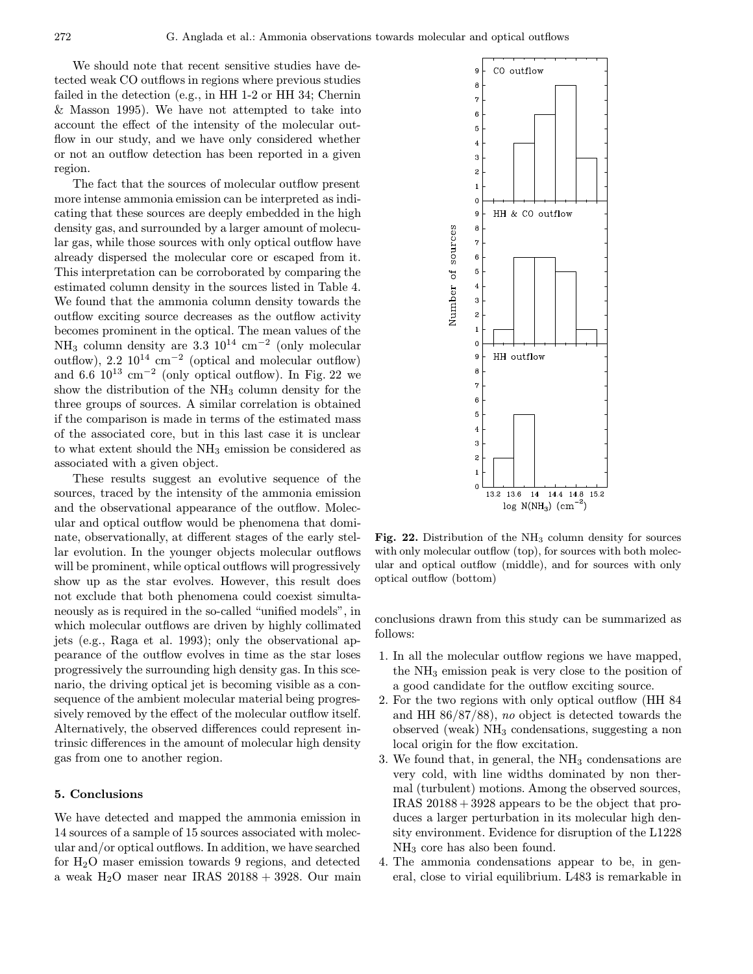We should note that recent sensitive studies have detected weak CO outflows in regions where previous studies failed in the detection (e.g., in HH 1-2 or HH 34; Chernin & Masson 1995). We have not attempted to take into account the effect of the intensity of the molecular outflow in our study, and we have only considered whether or not an outflow detection has been reported in a given region.

The fact that the sources of molecular outflow present more intense ammonia emission can be interpreted as indicating that these sources are deeply embedded in the high density gas, and surrounded by a larger amount of molecular gas, while those sources with only optical outflow have already dispersed the molecular core or escaped from it. This interpretation can be corroborated by comparing the estimated column density in the sources listed in Table 4. We found that the ammonia column density towards the outflow exciting source decreases as the outflow activity becomes prominent in the optical. The mean values of the NH<sub>3</sub> column density are  $3.3 \, 10^{14} \, \text{cm}^{-2}$  (only molecular outflow),  $2.2 \times 10^{14} \text{ cm}^{-2}$  (optical and molecular outflow) and 6.6  $10^{13}$  cm<sup>-2</sup> (only optical outflow). In Fig. 22 we show the distribution of the NH<sup>3</sup> column density for the three groups of sources. A similar correlation is obtained if the comparison is made in terms of the estimated mass of the associated core, but in this last case it is unclear to what extent should the NH<sup>3</sup> emission be considered as associated with a given object.

These results suggest an evolutive sequence of the sources, traced by the intensity of the ammonia emission and the observational appearance of the outflow. Molecular and optical outflow would be phenomena that dominate, observationally, at different stages of the early stellar evolution. In the younger objects molecular outflows will be prominent, while optical outflows will progressively show up as the star evolves. However, this result does not exclude that both phenomena could coexist simultaneously as is required in the so-called "unified models", in which molecular outflows are driven by highly collimated jets (e.g., Raga et al. 1993); only the observational appearance of the outflow evolves in time as the star loses progressively the surrounding high density gas. In this scenario, the driving optical jet is becoming visible as a consequence of the ambient molecular material being progressively removed by the effect of the molecular outflow itself. Alternatively, the observed differences could represent intrinsic differences in the amount of molecular high density gas from one to another region.

### 5. Conclusions

We have detected and mapped the ammonia emission in 14 sources of a sample of 15 sources associated with molecular and/or optical outflows. In addition, we have searched for H2O maser emission towards 9 regions, and detected a weak  $H<sub>2</sub>O$  maser near IRAS  $20188 + 3928$ . Our main



Fig. 22. Distribution of the  $NH<sub>3</sub>$  column density for sources with only molecular outflow (top), for sources with both molecular and optical outflow (middle), and for sources with only optical outflow (bottom)

conclusions drawn from this study can be summarized as follows:

- 1. In all the molecular outflow regions we have mapped, the  $NH<sub>3</sub>$  emission peak is very close to the position of a good candidate for the outflow exciting source.
- 2. For the two regions with only optical outflow (HH 84 and HH 86/87/88), no object is detected towards the observed (weak) NH<sup>3</sup> condensations, suggesting a non local origin for the flow excitation.
- 3. We found that, in general, the  $NH<sub>3</sub>$  condensations are very cold, with line widths dominated by non thermal (turbulent) motions. Among the observed sources, IRAS 20188 +3928 appears to be the object that produces a larger perturbation in its molecular high density environment. Evidence for disruption of the L1228 NH<sup>3</sup> core has also been found.
- 4. The ammonia condensations appear to be, in general, close to virial equilibrium. L483 is remarkable in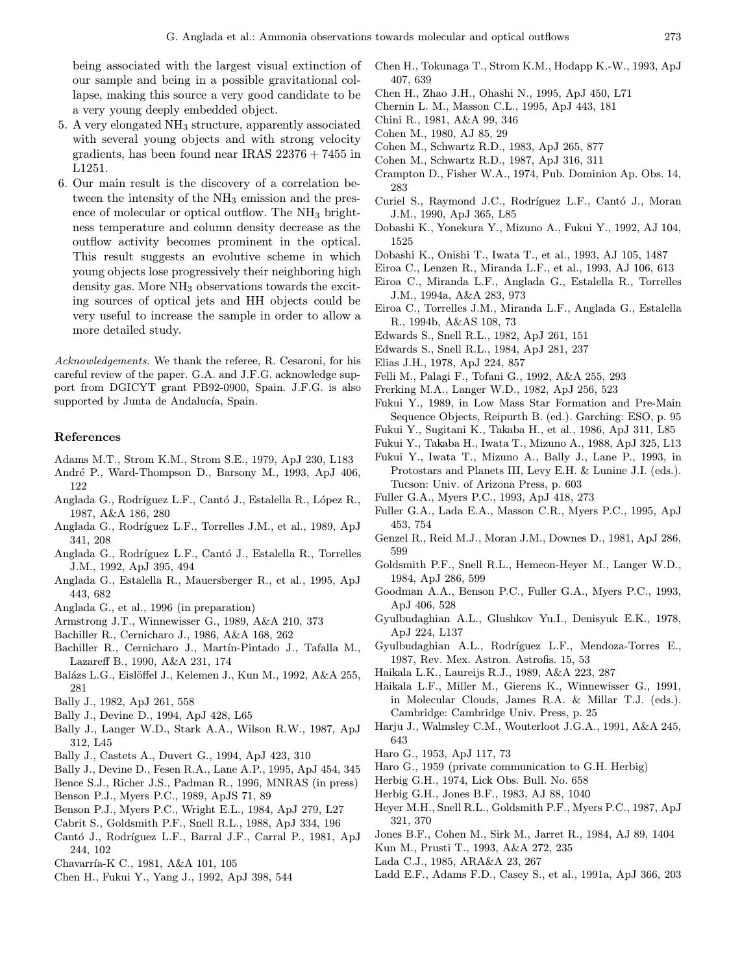being associated with the largest visual extinction of our sample and being in a possible gravitational collapse, making this source a very good candidate to be a very young deeply embedded object.

- 5. A very elongated  $NH<sub>3</sub>$  structure, apparently associated with several young objects and with strong velocity gradients, has been found near IRAS  $22376 + 7455$  in L1251.
- 6. Our main result is the discovery of a correlation between the intensity of the  $NH<sub>3</sub>$  emission and the presence of molecular or optical outflow. The  $NH<sub>3</sub>$  brightness temperature and column density decrease as the outflow activity becomes prominent in the optical. This result suggests an evolutive scheme in which young objects lose progressively their neighboring high density gas. More NH<sub>3</sub> observations towards the exciting sources of optical jets and HH objects could be very useful to increase the sample in order to allow a more detailed study.

Acknowledgements. We thank the referee, R. Cesaroni, for his careful review of the paper. G.A. and J.F.G. acknowledge support from DGICYT grant PB92-0900, Spain. J.F.G. is also supported by Junta de Andalucía, Spain.

# References

- Adams M.T., Strom K.M., Strom S.E., 1979, ApJ 230, L183
- Andr´e P., Ward-Thompson D., Barsony M., 1993, ApJ 406, 122
- Anglada G., Rodríguez L.F., Cantó J., Estalella R., López R., 1987, A&A 186, 280
- Anglada G., Rodríguez L.F., Torrelles J.M., et al., 1989, ApJ 341, 208
- Anglada G., Rodríguez L.F., Cantó J., Estalella R., Torrelles J.M., 1992, ApJ 395, 494
- Anglada G., Estalella R., Mauersberger R., et al., 1995, ApJ 443, 682
- Anglada G., et al., 1996 (in preparation)
- Armstrong J.T., Winnewisser G., 1989, A&A 210, 373
- Bachiller R., Cernicharo J., 1986, A&A 168, 262
- Bachiller R., Cernicharo J., Martín-Pintado J., Tafalla M., Lazareff B., 1990, A&A 231, 174
- Balázs L.G., Eislöffel J., Kelemen J., Kun M., 1992, A&A 255, 281
- Bally J., 1982, ApJ 261, 558
- Bally J., Devine D., 1994, ApJ 428, L65
- Bally J., Langer W.D., Stark A.A., Wilson R.W., 1987, ApJ 312, L45
- Bally J., Castets A., Duvert G., 1994, ApJ 423, 310
- Bally J., Devine D., Fesen R.A., Lane A.P., 1995, ApJ 454, 345
- Bence S.J., Richer J.S., Padman R., 1996, MNRAS (in press)
- Benson P.J., Myers P.C., 1989, ApJS 71, 89
- Benson P.J., Myers P.C., Wright E.L., 1984, ApJ 279, L27
- Cabrit S., Goldsmith P.F., Snell R.L., 1988, ApJ 334, 196
- Cantó J., Rodríguez L.F., Barral J.F., Carral P., 1981, ApJ 244, 102
- Chavarría-K C., 1981, A&A 101, 105
- Chen H., Fukui Y., Yang J., 1992, ApJ 398, 544
- Chen H., Tokunaga T., Strom K.M., Hodapp K.-W., 1993, ApJ 407, 639
- Chen H., Zhao J.H., Ohashi N., 1995, ApJ 450, L71
- Chernin L. M., Masson C.L., 1995, ApJ 443, 181
- Chini R., 1981, A&A 99, 346
- Cohen M., 1980, AJ 85, 29
- Cohen M., Schwartz R.D., 1983, ApJ 265, 877
- Cohen M., Schwartz R.D., 1987, ApJ 316, 311
- Crampton D., Fisher W.A., 1974, Pub. Dominion Ap. Obs. 14, 283
- Curiel S., Raymond J.C., Rodríguez L.F., Cantó J., Moran J.M., 1990, ApJ 365, L85
- Dobashi K., Yonekura Y., Mizuno A., Fukui Y., 1992, AJ 104, 1525
- Dobashi K., Onishi T., Iwata T., et al., 1993, AJ 105, 1487
- Eiroa C., Lenzen R., Miranda L.F., et al., 1993, AJ 106, 613
- Eiroa C., Miranda L.F., Anglada G., Estalella R., Torrelles J.M., 1994a, A&A 283, 973
- Eiroa C., Torrelles J.M., Miranda L.F., Anglada G., Estalella R., 1994b, A&AS 108, 73
- Edwards S., Snell R.L., 1982, ApJ 261, 151
- Edwards S., Snell R.L., 1984, ApJ 281, 237
- Elias J.H., 1978, ApJ 224, 857
- Felli M., Palagi F., Tofani G., 1992, A&A 255, 293
- Frerking M.A., Langer W.D., 1982, ApJ 256, 523
- Fukui Y., 1989, in Low Mass Star Formation and Pre-Main Sequence Objects, Reipurth B. (ed.). Garching: ESO, p. 95
- Fukui Y., Sugitani K., Takaba H., et al., 1986, ApJ 311, L85
- Fukui Y., Takaba H., Iwata T., Mizuno A., 1988, ApJ 325, L13
- Fukui Y., Iwata T., Mizuno A., Bally J., Lane P., 1993, in Protostars and Planets III, Levy E.H. & Lunine J.I. (eds.). Tucson: Univ. of Arizona Press, p. 603
- Fuller G.A., Myers P.C., 1993, ApJ 418, 273
- Fuller G.A., Lada E.A., Masson C.R., Myers P.C., 1995, ApJ 453, 754
- Genzel R., Reid M.J., Moran J.M., Downes D., 1981, ApJ 286, 599
- Goldsmith P.F., Snell R.L., Hemeon-Heyer M., Langer W.D., 1984, ApJ 286, 599
- Goodman A.A., Benson P.C., Fuller G.A., Myers P.C., 1993, ApJ 406, 528
- Gyulbudaghian A.L., Glushkov Yu.I., Denisyuk E.K., 1978, ApJ 224, L137
- Gyulbudaghian A.L., Rodríguez L.F., Mendoza-Torres E., 1987, Rev. Mex. Astron. Astrofis. 15, 53
- Haikala L.K., Laureijs R.J., 1989, A&A 223, 287
- Haikala L.F., Miller M., Gierens K., Winnewisser G., 1991, in Molecular Clouds, James R.A. & Millar T.J. (eds.). Cambridge: Cambridge Univ. Press, p. 25
- Harju J., Walmsley C.M., Wouterloot J.G.A., 1991, A&A 245, 643
- Haro G., 1953, ApJ 117, 73
- Haro G., 1959 (private communication to G.H. Herbig)
- Herbig G.H., 1974, Lick Obs. Bull. No. 658
- Herbig G.H., Jones B.F., 1983, AJ 88, 1040
- Heyer M.H., Snell R.L., Goldsmith P.F., Myers P.C., 1987, ApJ 321, 370
- Jones B.F., Cohen M., Sirk M., Jarret R., 1984, AJ 89, 1404
- Kun M., Prusti T., 1993, A&A 272, 235
- Lada C.J., 1985, ARA&A 23, 267
- Ladd E.F., Adams F.D., Casey S., et al., 1991a, ApJ 366, 203